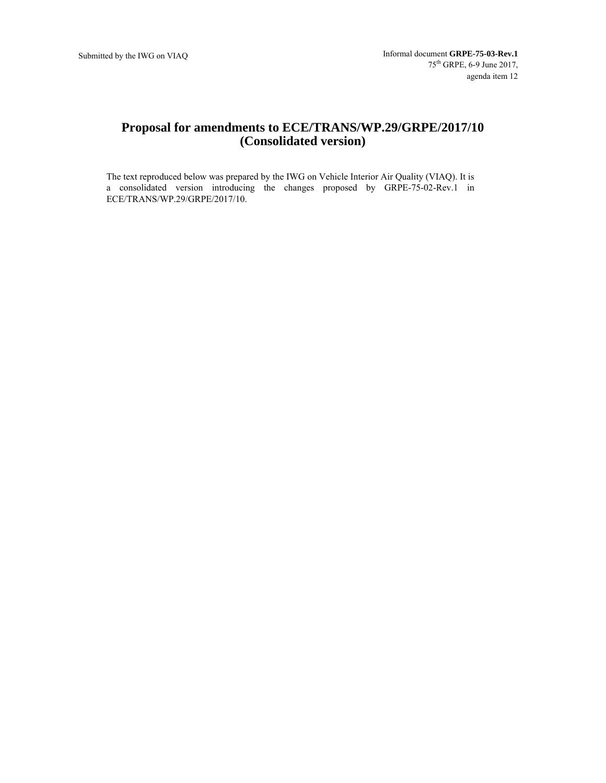# **Proposal for amendments to ECE/TRANS/WP.29/GRPE/2017/10 (Consolidated version)**

The text reproduced below was prepared by the IWG on Vehicle Interior Air Quality (VIAQ). It is a consolidated version introducing the changes proposed by GRPE-75-02-Rev.1 in ECE/TRANS/WP.29/GRPE/2017/10.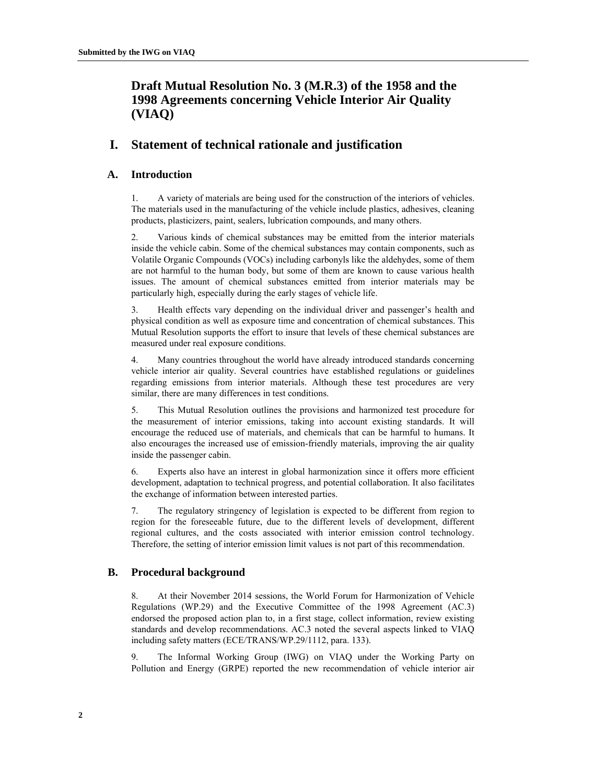# **Draft Mutual Resolution No. 3 (M.R.3) of the 1958 and the 1998 Agreements concerning Vehicle Interior Air Quality (VIAQ)**

## **I. Statement of technical rationale and justification**

### **A. Introduction**

1. A variety of materials are being used for the construction of the interiors of vehicles. The materials used in the manufacturing of the vehicle include plastics, adhesives, cleaning products, plasticizers, paint, sealers, lubrication compounds, and many others.

2. Various kinds of chemical substances may be emitted from the interior materials inside the vehicle cabin. Some of the chemical substances may contain components, such as Volatile Organic Compounds (VOCs) including carbonyls like the aldehydes, some of them are not harmful to the human body, but some of them are known to cause various health issues. The amount of chemical substances emitted from interior materials may be particularly high, especially during the early stages of vehicle life.

3. Health effects vary depending on the individual driver and passenger's health and physical condition as well as exposure time and concentration of chemical substances. This Mutual Resolution supports the effort to insure that levels of these chemical substances are measured under real exposure conditions.

4. Many countries throughout the world have already introduced standards concerning vehicle interior air quality. Several countries have established regulations or guidelines regarding emissions from interior materials. Although these test procedures are very similar, there are many differences in test conditions.

5. This Mutual Resolution outlines the provisions and harmonized test procedure for the measurement of interior emissions, taking into account existing standards. It will encourage the reduced use of materials, and chemicals that can be harmful to humans. It also encourages the increased use of emission-friendly materials, improving the air quality inside the passenger cabin.

6. Experts also have an interest in global harmonization since it offers more efficient development, adaptation to technical progress, and potential collaboration. It also facilitates the exchange of information between interested parties.

7. The regulatory stringency of legislation is expected to be different from region to region for the foreseeable future, due to the different levels of development, different regional cultures, and the costs associated with interior emission control technology. Therefore, the setting of interior emission limit values is not part of this recommendation.

### **B. Procedural background**

8. At their November 2014 sessions, the World Forum for Harmonization of Vehicle Regulations (WP.29) and the Executive Committee of the 1998 Agreement (AC.3) endorsed the proposed action plan to, in a first stage, collect information, review existing standards and develop recommendations. AC.3 noted the several aspects linked to VIAQ including safety matters (ECE/TRANS/WP.29/1112, para. 133).

9. The Informal Working Group (IWG) on VIAQ under the Working Party on Pollution and Energy (GRPE) reported the new recommendation of vehicle interior air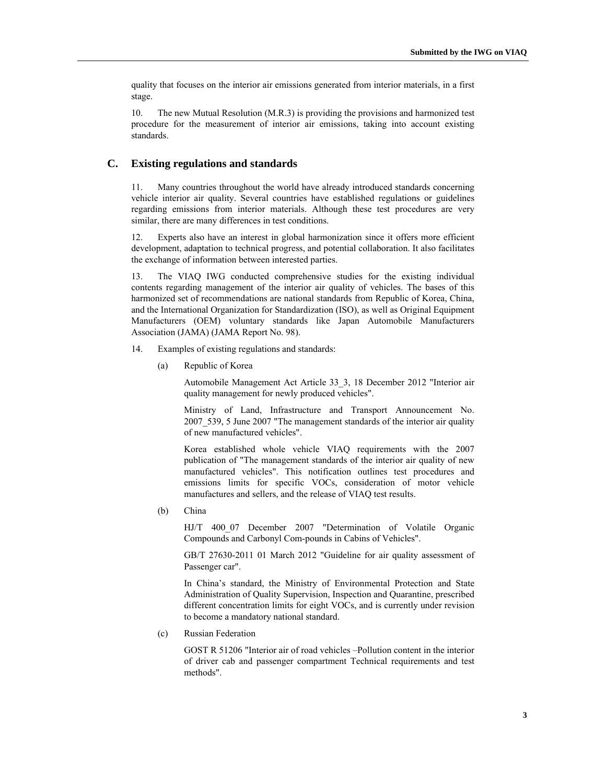quality that focuses on the interior air emissions generated from interior materials, in a first stage.

10. The new Mutual Resolution (M.R.3) is providing the provisions and harmonized test procedure for the measurement of interior air emissions, taking into account existing standards.

### **C. Existing regulations and standards**

11. Many countries throughout the world have already introduced standards concerning vehicle interior air quality. Several countries have established regulations or guidelines regarding emissions from interior materials. Although these test procedures are very similar, there are many differences in test conditions.

12. Experts also have an interest in global harmonization since it offers more efficient development, adaptation to technical progress, and potential collaboration. It also facilitates the exchange of information between interested parties.

13. The VIAQ IWG conducted comprehensive studies for the existing individual contents regarding management of the interior air quality of vehicles. The bases of this harmonized set of recommendations are national standards from Republic of Korea, China, and the International Organization for Standardization (ISO), as well as Original Equipment Manufacturers (OEM) voluntary standards like Japan Automobile Manufacturers Association (JAMA) (JAMA Report No. 98).

- 14. Examples of existing regulations and standards:
	- (a) Republic of Korea

Automobile Management Act Article 33\_3, 18 December 2012 "Interior air quality management for newly produced vehicles".

Ministry of Land, Infrastructure and Transport Announcement No. 2007\_539, 5 June 2007 "The management standards of the interior air quality of new manufactured vehicles".

Korea established whole vehicle VIAQ requirements with the 2007 publication of "The management standards of the interior air quality of new manufactured vehicles". This notification outlines test procedures and emissions limits for specific VOCs, consideration of motor vehicle manufactures and sellers, and the release of VIAQ test results.

(b) China

HJ/T 400\_07 December 2007 "Determination of Volatile Organic Compounds and Carbonyl Com-pounds in Cabins of Vehicles".

GB/T 27630-2011 01 March 2012 "Guideline for air quality assessment of Passenger car".

In China's standard, the Ministry of Environmental Protection and State Administration of Quality Supervision, Inspection and Quarantine, prescribed different concentration limits for eight VOCs, and is currently under revision to become a mandatory national standard.

(c) Russian Federation

GOST R 51206 "Interior air of road vehicles –Pollution content in the interior of driver cab and passenger compartment Technical requirements and test methods".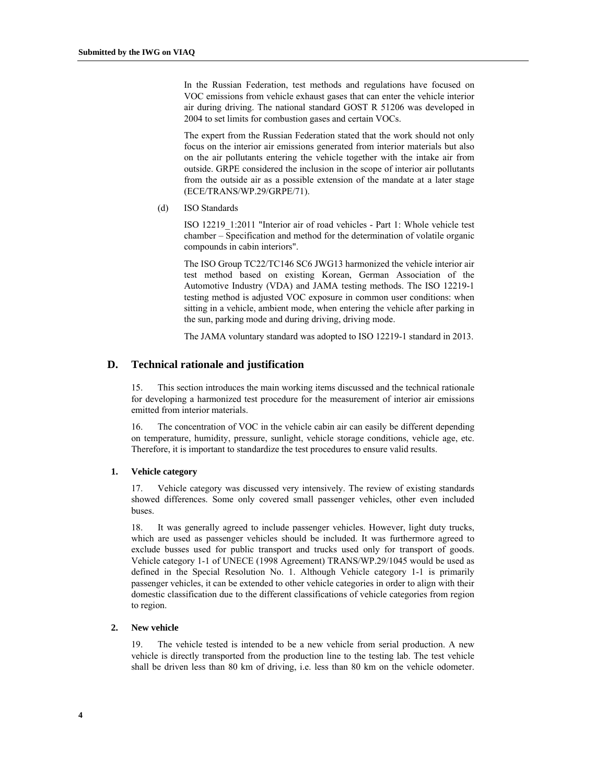In the Russian Federation, test methods and regulations have focused on VOC emissions from vehicle exhaust gases that can enter the vehicle interior air during driving. The national standard GOST R 51206 was developed in 2004 to set limits for combustion gases and certain VOCs.

The expert from the Russian Federation stated that the work should not only focus on the interior air emissions generated from interior materials but also on the air pollutants entering the vehicle together with the intake air from outside. GRPE considered the inclusion in the scope of interior air pollutants from the outside air as a possible extension of the mandate at a later stage (ECE/TRANS/WP.29/GRPE/71).

(d) ISO Standards

ISO 12219\_1:2011 "Interior air of road vehicles - Part 1: Whole vehicle test chamber – Specification and method for the determination of volatile organic compounds in cabin interiors".

The ISO Group TC22/TC146 SC6 JWG13 harmonized the vehicle interior air test method based on existing Korean, German Association of the Automotive Industry (VDA) and JAMA testing methods. The ISO 12219-1 testing method is adjusted VOC exposure in common user conditions: when sitting in a vehicle, ambient mode, when entering the vehicle after parking in the sun, parking mode and during driving, driving mode.

The JAMA voluntary standard was adopted to ISO 12219-1 standard in 2013.

### **D. Technical rationale and justification**

15. This section introduces the main working items discussed and the technical rationale for developing a harmonized test procedure for the measurement of interior air emissions emitted from interior materials.

16. The concentration of VOC in the vehicle cabin air can easily be different depending on temperature, humidity, pressure, sunlight, vehicle storage conditions, vehicle age, etc. Therefore, it is important to standardize the test procedures to ensure valid results.

#### **1. Vehicle category**

17. Vehicle category was discussed very intensively. The review of existing standards showed differences. Some only covered small passenger vehicles, other even included buses.

18. It was generally agreed to include passenger vehicles. However, light duty trucks, which are used as passenger vehicles should be included. It was furthermore agreed to exclude busses used for public transport and trucks used only for transport of goods. Vehicle category 1-1 of UNECE (1998 Agreement) TRANS/WP.29/1045 would be used as defined in the Special Resolution No. 1. Although Vehicle category 1-1 is primarily passenger vehicles, it can be extended to other vehicle categories in order to align with their domestic classification due to the different classifications of vehicle categories from region to region.

#### **2. New vehicle**

19. The vehicle tested is intended to be a new vehicle from serial production. A new vehicle is directly transported from the production line to the testing lab. The test vehicle shall be driven less than 80 km of driving, i.e. less than 80 km on the vehicle odometer.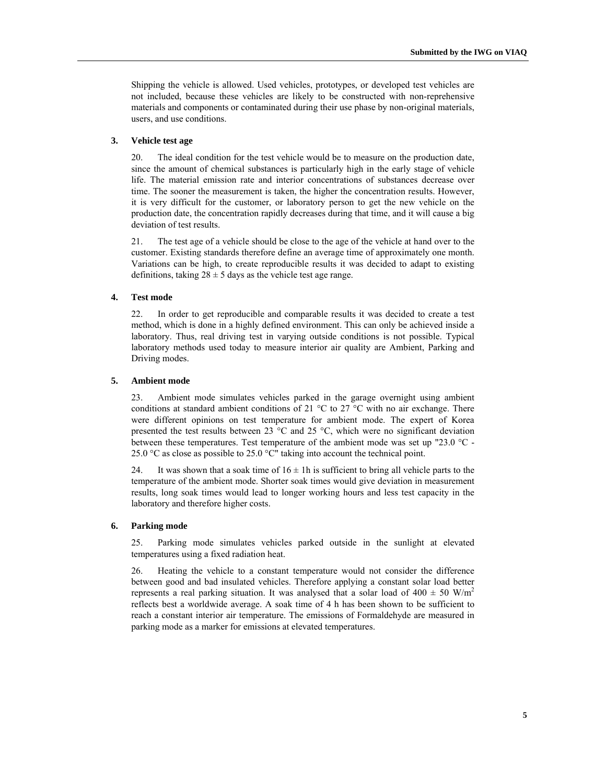Shipping the vehicle is allowed. Used vehicles, prototypes, or developed test vehicles are not included, because these vehicles are likely to be constructed with non-reprehensive materials and components or contaminated during their use phase by non-original materials, users, and use conditions.

#### **3. Vehicle test age**

20. The ideal condition for the test vehicle would be to measure on the production date, since the amount of chemical substances is particularly high in the early stage of vehicle life. The material emission rate and interior concentrations of substances decrease over time. The sooner the measurement is taken, the higher the concentration results. However, it is very difficult for the customer, or laboratory person to get the new vehicle on the production date, the concentration rapidly decreases during that time, and it will cause a big deviation of test results.

21. The test age of a vehicle should be close to the age of the vehicle at hand over to the customer. Existing standards therefore define an average time of approximately one month. Variations can be high, to create reproducible results it was decided to adapt to existing definitions, taking  $28 \pm 5$  days as the vehicle test age range.

#### **4. Test mode**

22. In order to get reproducible and comparable results it was decided to create a test method, which is done in a highly defined environment. This can only be achieved inside a laboratory. Thus, real driving test in varying outside conditions is not possible. Typical laboratory methods used today to measure interior air quality are Ambient, Parking and Driving modes.

#### **5. Ambient mode**

23. Ambient mode simulates vehicles parked in the garage overnight using ambient conditions at standard ambient conditions of 21  $^{\circ}$ C to 27  $^{\circ}$ C with no air exchange. There were different opinions on test temperature for ambient mode. The expert of Korea presented the test results between 23 °C and 25 °C, which were no significant deviation between these temperatures. Test temperature of the ambient mode was set up "23.0 °C - 25.0  $\degree$ C as close as possible to 25.0  $\degree$ C" taking into account the technical point.

24. It was shown that a soak time of  $16 \pm 1$  h is sufficient to bring all vehicle parts to the temperature of the ambient mode. Shorter soak times would give deviation in measurement results, long soak times would lead to longer working hours and less test capacity in the laboratory and therefore higher costs.

#### **6. Parking mode**

25. Parking mode simulates vehicles parked outside in the sunlight at elevated temperatures using a fixed radiation heat.

26. Heating the vehicle to a constant temperature would not consider the difference between good and bad insulated vehicles. Therefore applying a constant solar load better represents a real parking situation. It was analysed that a solar load of 400  $\pm$  50 W/m<sup>2</sup> reflects best a worldwide average. A soak time of 4 h has been shown to be sufficient to reach a constant interior air temperature. The emissions of Formaldehyde are measured in parking mode as a marker for emissions at elevated temperatures.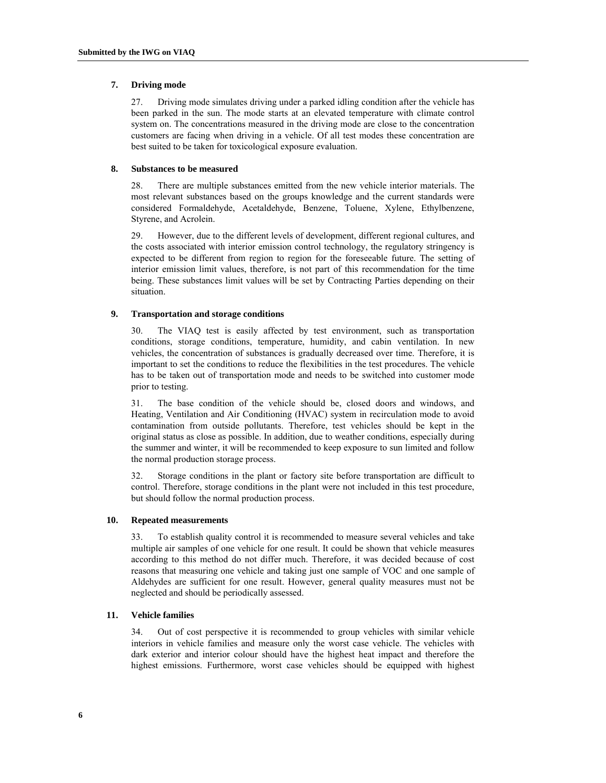#### **7. Driving mode**

27. Driving mode simulates driving under a parked idling condition after the vehicle has been parked in the sun. The mode starts at an elevated temperature with climate control system on. The concentrations measured in the driving mode are close to the concentration customers are facing when driving in a vehicle. Of all test modes these concentration are best suited to be taken for toxicological exposure evaluation.

#### **8. Substances to be measured**

28. There are multiple substances emitted from the new vehicle interior materials. The most relevant substances based on the groups knowledge and the current standards were considered Formaldehyde, Acetaldehyde, Benzene, Toluene, Xylene, Ethylbenzene, Styrene, and Acrolein.

29. However, due to the different levels of development, different regional cultures, and the costs associated with interior emission control technology, the regulatory stringency is expected to be different from region to region for the foreseeable future. The setting of interior emission limit values, therefore, is not part of this recommendation for the time being. These substances limit values will be set by Contracting Parties depending on their situation.

#### **9. Transportation and storage conditions**

30. The VIAQ test is easily affected by test environment, such as transportation conditions, storage conditions, temperature, humidity, and cabin ventilation. In new vehicles, the concentration of substances is gradually decreased over time. Therefore, it is important to set the conditions to reduce the flexibilities in the test procedures. The vehicle has to be taken out of transportation mode and needs to be switched into customer mode prior to testing.

31. The base condition of the vehicle should be, closed doors and windows, and Heating, Ventilation and Air Conditioning (HVAC) system in recirculation mode to avoid contamination from outside pollutants. Therefore, test vehicles should be kept in the original status as close as possible. In addition, due to weather conditions, especially during the summer and winter, it will be recommended to keep exposure to sun limited and follow the normal production storage process.

32. Storage conditions in the plant or factory site before transportation are difficult to control. Therefore, storage conditions in the plant were not included in this test procedure, but should follow the normal production process.

#### **10. Repeated measurements**

To establish quality control it is recommended to measure several vehicles and take multiple air samples of one vehicle for one result. It could be shown that vehicle measures according to this method do not differ much. Therefore, it was decided because of cost reasons that measuring one vehicle and taking just one sample of VOC and one sample of Aldehydes are sufficient for one result. However, general quality measures must not be neglected and should be periodically assessed.

#### **11. Vehicle families**

34. Out of cost perspective it is recommended to group vehicles with similar vehicle interiors in vehicle families and measure only the worst case vehicle. The vehicles with dark exterior and interior colour should have the highest heat impact and therefore the highest emissions. Furthermore, worst case vehicles should be equipped with highest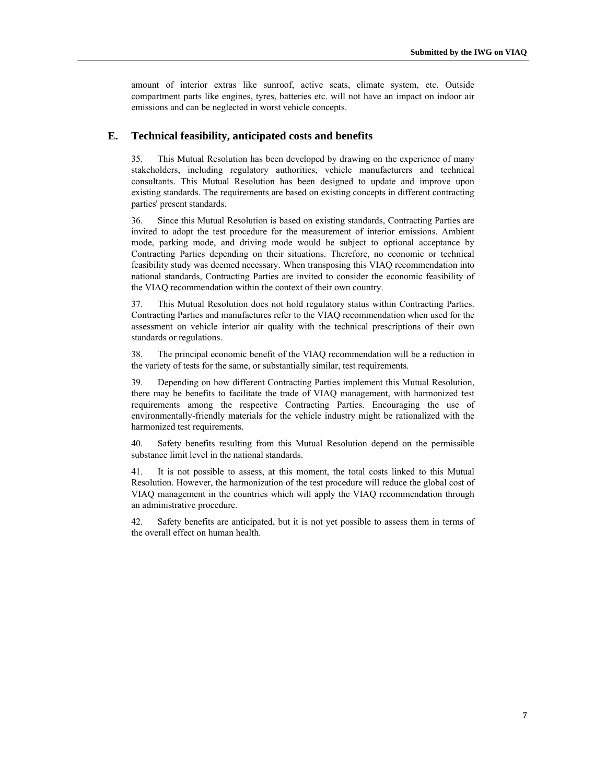amount of interior extras like sunroof, active seats, climate system, etc. Outside compartment parts like engines, tyres, batteries etc. will not have an impact on indoor air emissions and can be neglected in worst vehicle concepts.

### **E. Technical feasibility, anticipated costs and benefits**

35. This Mutual Resolution has been developed by drawing on the experience of many stakeholders, including regulatory authorities, vehicle manufacturers and technical consultants. This Mutual Resolution has been designed to update and improve upon existing standards. The requirements are based on existing concepts in different contracting parties' present standards.

36. Since this Mutual Resolution is based on existing standards, Contracting Parties are invited to adopt the test procedure for the measurement of interior emissions. Ambient mode, parking mode, and driving mode would be subject to optional acceptance by Contracting Parties depending on their situations. Therefore, no economic or technical feasibility study was deemed necessary. When transposing this VIAQ recommendation into national standards, Contracting Parties are invited to consider the economic feasibility of the VIAQ recommendation within the context of their own country.

37. This Mutual Resolution does not hold regulatory status within Contracting Parties. Contracting Parties and manufactures refer to the VIAQ recommendation when used for the assessment on vehicle interior air quality with the technical prescriptions of their own standards or regulations.

38. The principal economic benefit of the VIAQ recommendation will be a reduction in the variety of tests for the same, or substantially similar, test requirements.

39. Depending on how different Contracting Parties implement this Mutual Resolution, there may be benefits to facilitate the trade of VIAQ management, with harmonized test requirements among the respective Contracting Parties. Encouraging the use of environmentally-friendly materials for the vehicle industry might be rationalized with the harmonized test requirements.

40. Safety benefits resulting from this Mutual Resolution depend on the permissible substance limit level in the national standards.

41. It is not possible to assess, at this moment, the total costs linked to this Mutual Resolution. However, the harmonization of the test procedure will reduce the global cost of VIAQ management in the countries which will apply the VIAQ recommendation through an administrative procedure.

42. Safety benefits are anticipated, but it is not yet possible to assess them in terms of the overall effect on human health.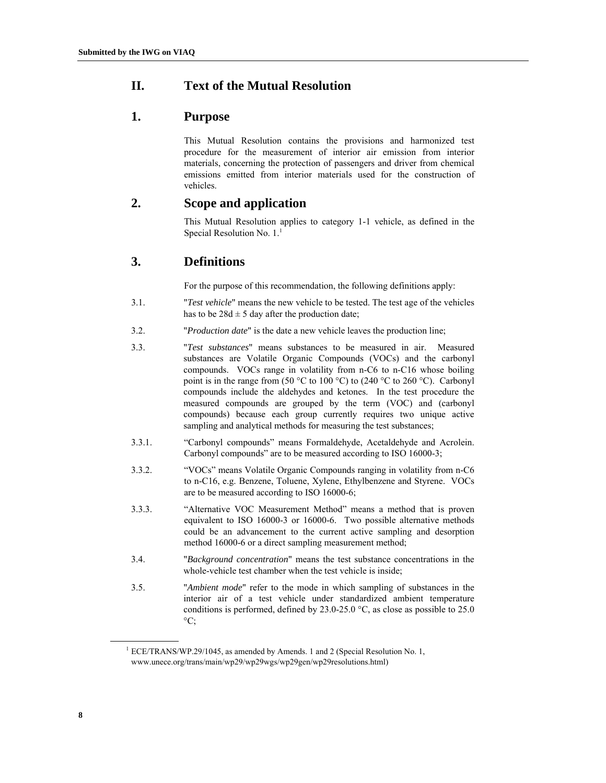## **II. Text of the Mutual Resolution**

## **1. Purpose**

This Mutual Resolution contains the provisions and harmonized test procedure for the measurement of interior air emission from interior materials, concerning the protection of passengers and driver from chemical emissions emitted from interior materials used for the construction of vehicles.

## **2. Scope and application**

This Mutual Resolution applies to category 1-1 vehicle, as defined in the Special Resolution No. 1.<sup>1</sup>

## **3. Definitions**

For the purpose of this recommendation, the following definitions apply:

- 3.1. "*Test vehicle*" means the new vehicle to be tested. The test age of the vehicles has to be  $28d \pm 5$  day after the production date;
- 3.2. "*Production date*" is the date a new vehicle leaves the production line;
- 3.3. "*Test substances*" means substances to be measured in air. Measured substances are Volatile Organic Compounds (VOCs) and the carbonyl compounds. VOCs range in volatility from n-C6 to n-C16 whose boiling point is in the range from (50 °C to 100 °C) to (240 °C to 260 °C). Carbonyl compounds include the aldehydes and ketones. In the test procedure the measured compounds are grouped by the term (VOC) and (carbonyl compounds) because each group currently requires two unique active sampling and analytical methods for measuring the test substances;
- 3.3.1. "Carbonyl compounds" means Formaldehyde, Acetaldehyde and Acrolein. Carbonyl compounds" are to be measured according to ISO 16000-3;
- 3.3.2. "VOCs" means Volatile Organic Compounds ranging in volatility from n-C6 to n-C16, e.g. Benzene, Toluene, Xylene, Ethylbenzene and Styrene. VOCs are to be measured according to ISO 16000-6;
- 3.3.3. "Alternative VOC Measurement Method" means a method that is proven equivalent to ISO 16000-3 or 16000-6. Two possible alternative methods could be an advancement to the current active sampling and desorption method 16000-6 or a direct sampling measurement method;
- 3.4. "*Background concentration*" means the test substance concentrations in the whole-vehicle test chamber when the test vehicle is inside;
- 3.5. "*Ambient mode*" refer to the mode in which sampling of substances in the interior air of a test vehicle under standardized ambient temperature conditions is performed, defined by 23.0-25.0 °C, as close as possible to 25.0  $\mathrm{^{\circ}C};$

 $\overline{a}$ 

<sup>&</sup>lt;sup>1</sup> ECE/TRANS/WP.29/1045, as amended by Amends. 1 and 2 (Special Resolution No. 1, www.unece.org/trans/main/wp29/wp29wgs/wp29gen/wp29resolutions.html)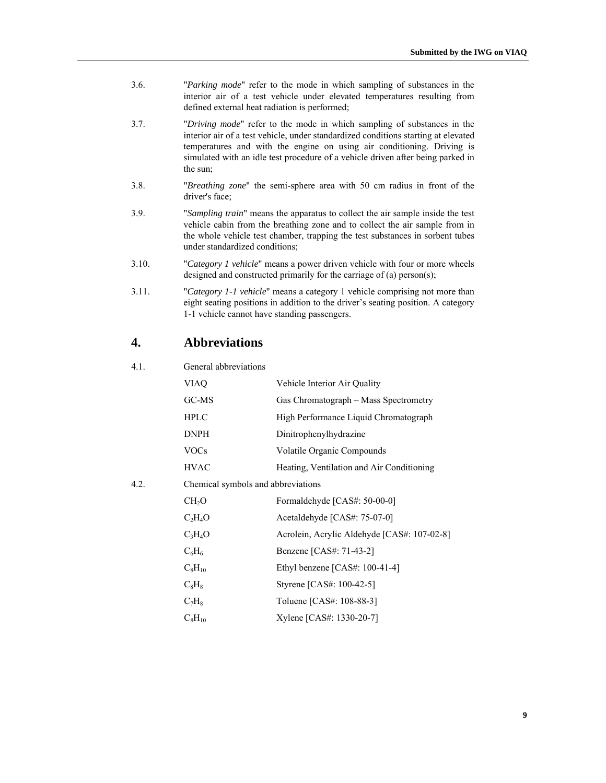- 3.6. "*Parking mode*" refer to the mode in which sampling of substances in the interior air of a test vehicle under elevated temperatures resulting from defined external heat radiation is performed;
- 3.7. "*Driving mode*" refer to the mode in which sampling of substances in the interior air of a test vehicle, under standardized conditions starting at elevated temperatures and with the engine on using air conditioning. Driving is simulated with an idle test procedure of a vehicle driven after being parked in the sun;
- 3.8. "*Breathing zone*" the semi-sphere area with 50 cm radius in front of the driver's face;
- 3.9. "*Sampling train*" means the apparatus to collect the air sample inside the test vehicle cabin from the breathing zone and to collect the air sample from in the whole vehicle test chamber, trapping the test substances in sorbent tubes under standardized conditions;
- 3.10. "*Category 1 vehicle*" means a power driven vehicle with four or more wheels designed and constructed primarily for the carriage of (a) person(s);
- 3.11. "*Category 1-1 vehicle*" means a category 1 vehicle comprising not more than eight seating positions in addition to the driver's seating position. A category 1-1 vehicle cannot have standing passengers.

## **4. Abbreviations**

### 4.1. General abbreviations

|      | <b>VIAO</b>                        | Vehicle Interior Air Quality                |
|------|------------------------------------|---------------------------------------------|
|      | GC-MS                              | Gas Chromatograph – Mass Spectrometry       |
|      | <b>HPLC</b>                        | High Performance Liquid Chromatograph       |
|      | DNPH                               | Dinitrophenylhydrazine                      |
|      | <b>VOCs</b>                        | Volatile Organic Compounds                  |
|      | <b>HVAC</b>                        | Heating, Ventilation and Air Conditioning   |
| 4.2. | Chemical symbols and abbreviations |                                             |
|      | CH <sub>2</sub> O                  | Formaldehyde [CAS#: 50-00-0]                |
|      | $C_2H_4O$                          | Acetaldehyde [CAS#: 75-07-0]                |
|      | $C_3H_4O$                          | Acrolein, Acrylic Aldehyde [CAS#: 107-02-8] |
|      | $C_6H_6$                           | Benzene [CAS#: 71-43-2]                     |
|      | $C_8H_{10}$                        | Ethyl benzene $[CAS#: 100-41-4]$            |
|      | $C_8H_8$                           | Styrene [CAS#: 100-42-5]                    |
|      | $C_7H_8$                           | Toluene [CAS#: 108-88-3]                    |
|      | $C_8H_{10}$                        | Xylene [CAS#: 1330-20-7]                    |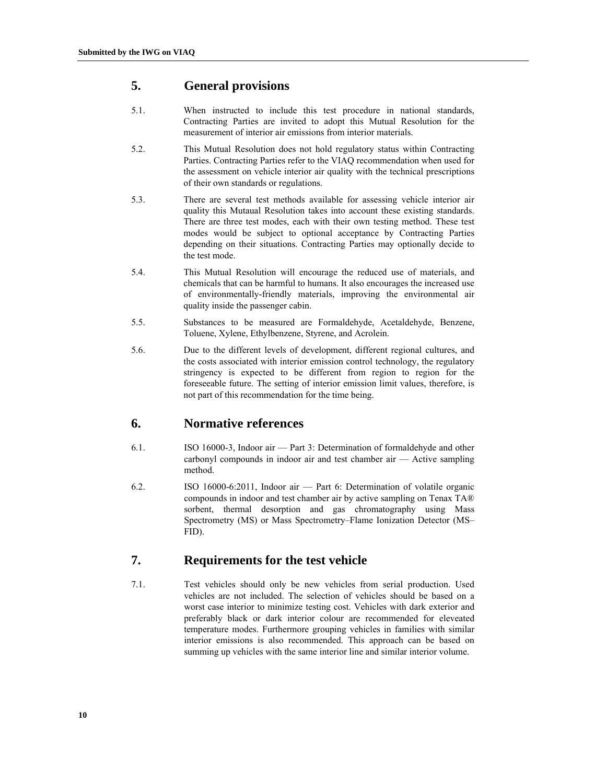## **5. General provisions**

- 5.1. When instructed to include this test procedure in national standards, Contracting Parties are invited to adopt this Mutual Resolution for the measurement of interior air emissions from interior materials.
- 5.2. This Mutual Resolution does not hold regulatory status within Contracting Parties. Contracting Parties refer to the VIAQ recommendation when used for the assessment on vehicle interior air quality with the technical prescriptions of their own standards or regulations.
- 5.3. There are several test methods available for assessing vehicle interior air quality this Mutaual Resolution takes into account these existing standards. There are three test modes, each with their own testing method. These test modes would be subject to optional acceptance by Contracting Parties depending on their situations. Contracting Parties may optionally decide to the test mode.
- 5.4. This Mutual Resolution will encourage the reduced use of materials, and chemicals that can be harmful to humans. It also encourages the increased use of environmentally-friendly materials, improving the environmental air quality inside the passenger cabin.
- 5.5. Substances to be measured are Formaldehyde, Acetaldehyde, Benzene, Toluene, Xylene, Ethylbenzene, Styrene, and Acrolein.
- 5.6. Due to the different levels of development, different regional cultures, and the costs associated with interior emission control technology, the regulatory stringency is expected to be different from region to region for the foreseeable future. The setting of interior emission limit values, therefore, is not part of this recommendation for the time being.

## **6. Normative references**

- 6.1. ISO 16000-3, Indoor air Part 3: Determination of formaldehyde and other carbonyl compounds in indoor air and test chamber air — Active sampling method.
- 6.2. ISO 16000-6:2011, Indoor air Part 6: Determination of volatile organic compounds in indoor and test chamber air by active sampling on Tenax TA® sorbent, thermal desorption and gas chromatography using Mass Spectrometry (MS) or Mass Spectrometry–Flame Ionization Detector (MS– FID).

## **7. Requirements for the test vehicle**

7.1. Test vehicles should only be new vehicles from serial production. Used vehicles are not included. The selection of vehicles should be based on a worst case interior to minimize testing cost. Vehicles with dark exterior and preferably black or dark interior colour are recommended for eleveated temperature modes. Furthermore grouping vehicles in families with similar interior emissions is also recommended. This approach can be based on summing up vehicles with the same interior line and similar interior volume.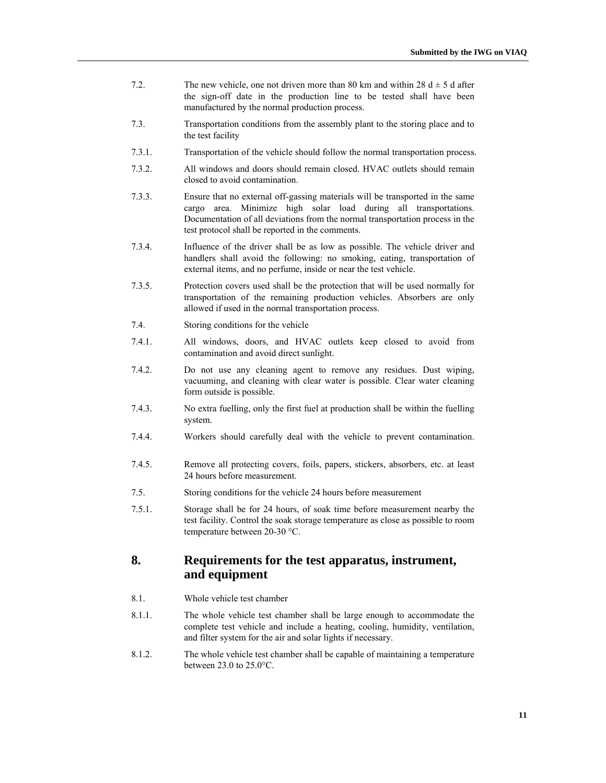- 7.2. The new vehicle, one not driven more than 80 km and within 28  $d \pm 5$  d after the sign-off date in the production line to be tested shall have been manufactured by the normal production process.
- 7.3. Transportation conditions from the assembly plant to the storing place and to the test facility
- 7.3.1. Transportation of the vehicle should follow the normal transportation process.
- 7.3.2. All windows and doors should remain closed. HVAC outlets should remain closed to avoid contamination.
- 7.3.3. Ensure that no external off-gassing materials will be transported in the same cargo area. Minimize high solar load during all transportations. Documentation of all deviations from the normal transportation process in the test protocol shall be reported in the comments.
- 7.3.4. Influence of the driver shall be as low as possible. The vehicle driver and handlers shall avoid the following: no smoking, eating, transportation of external items, and no perfume, inside or near the test vehicle.
- 7.3.5. Protection covers used shall be the protection that will be used normally for transportation of the remaining production vehicles. Absorbers are only allowed if used in the normal transportation process.
- 7.4. Storing conditions for the vehicle
- 7.4.1. All windows, doors, and HVAC outlets keep closed to avoid from contamination and avoid direct sunlight.
- 7.4.2. Do not use any cleaning agent to remove any residues. Dust wiping, vacuuming, and cleaning with clear water is possible. Clear water cleaning form outside is possible.
- 7.4.3. No extra fuelling, only the first fuel at production shall be within the fuelling system.
- 7.4.4. Workers should carefully deal with the vehicle to prevent contamination.
- 7.4.5. Remove all protecting covers, foils, papers, stickers, absorbers, etc. at least 24 hours before measurement.
- 7.5. Storing conditions for the vehicle 24 hours before measurement
- 7.5.1. Storage shall be for 24 hours, of soak time before measurement nearby the test facility. Control the soak storage temperature as close as possible to room temperature between 20-30 °C.

## **8. Requirements for the test apparatus, instrument, and equipment**

- 8.1. Whole vehicle test chamber
- 8.1.1. The whole vehicle test chamber shall be large enough to accommodate the complete test vehicle and include a heating, cooling, humidity, ventilation, and filter system for the air and solar lights if necessary.
- 8.1.2. The whole vehicle test chamber shall be capable of maintaining a temperature between 23.0 to 25.0°C.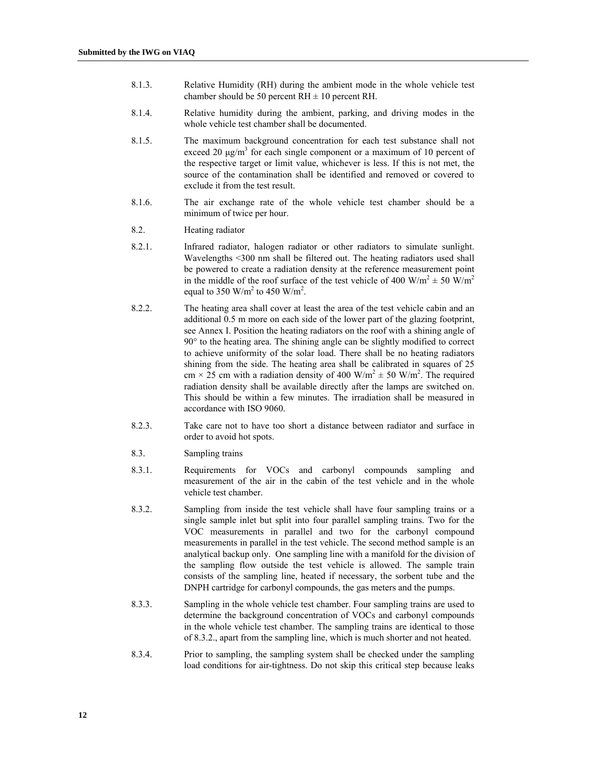- 8.1.3. Relative Humidity (RH) during the ambient mode in the whole vehicle test chamber should be 50 percent  $RH \pm 10$  percent RH.
- 8.1.4. Relative humidity during the ambient, parking, and driving modes in the whole vehicle test chamber shall be documented.
- 8.1.5. The maximum background concentration for each test substance shall not exceed 20  $\mu$ g/m<sup>3</sup> for each single component or a maximum of 10 percent of the respective target or limit value, whichever is less. If this is not met, the source of the contamination shall be identified and removed or covered to exclude it from the test result.
- 8.1.6. The air exchange rate of the whole vehicle test chamber should be a minimum of twice per hour.
- 8.2. Heating radiator
- 8.2.1. Infrared radiator, halogen radiator or other radiators to simulate sunlight. Wavelengths <300 nm shall be filtered out. The heating radiators used shall be powered to create a radiation density at the reference measurement point in the middle of the roof surface of the test vehicle of 400 W/m<sup>2</sup>  $\pm$  50 W/m<sup>2</sup> equal to 350 W/m<sup>2</sup> to 450 W/m<sup>2</sup>.
- 8.2.2. The heating area shall cover at least the area of the test vehicle cabin and an additional 0.5 m more on each side of the lower part of the glazing footprint, see Annex I. Position the heating radiators on the roof with a shining angle of 90° to the heating area. The shining angle can be slightly modified to correct to achieve uniformity of the solar load. There shall be no heating radiators shining from the side. The heating area shall be calibrated in squares of 25 cm  $\times$  25 cm with a radiation density of 400 W/m<sup>2</sup>  $\pm$  50 W/m<sup>2</sup>. The required radiation density shall be available directly after the lamps are switched on. This should be within a few minutes. The irradiation shall be measured in accordance with ISO 9060.
- 8.2.3. Take care not to have too short a distance between radiator and surface in order to avoid hot spots.
- 8.3. Sampling trains
- 8.3.1. Requirements for VOCs and carbonyl compounds sampling and measurement of the air in the cabin of the test vehicle and in the whole vehicle test chamber.
- 8.3.2. Sampling from inside the test vehicle shall have four sampling trains or a single sample inlet but split into four parallel sampling trains. Two for the VOC measurements in parallel and two for the carbonyl compound measurements in parallel in the test vehicle. The second method sample is an analytical backup only. One sampling line with a manifold for the division of the sampling flow outside the test vehicle is allowed. The sample train consists of the sampling line, heated if necessary, the sorbent tube and the DNPH cartridge for carbonyl compounds, the gas meters and the pumps.
- 8.3.3. Sampling in the whole vehicle test chamber. Four sampling trains are used to determine the background concentration of VOCs and carbonyl compounds in the whole vehicle test chamber. The sampling trains are identical to those of 8.3.2., apart from the sampling line, which is much shorter and not heated.
- 8.3.4. Prior to sampling, the sampling system shall be checked under the sampling load conditions for air-tightness. Do not skip this critical step because leaks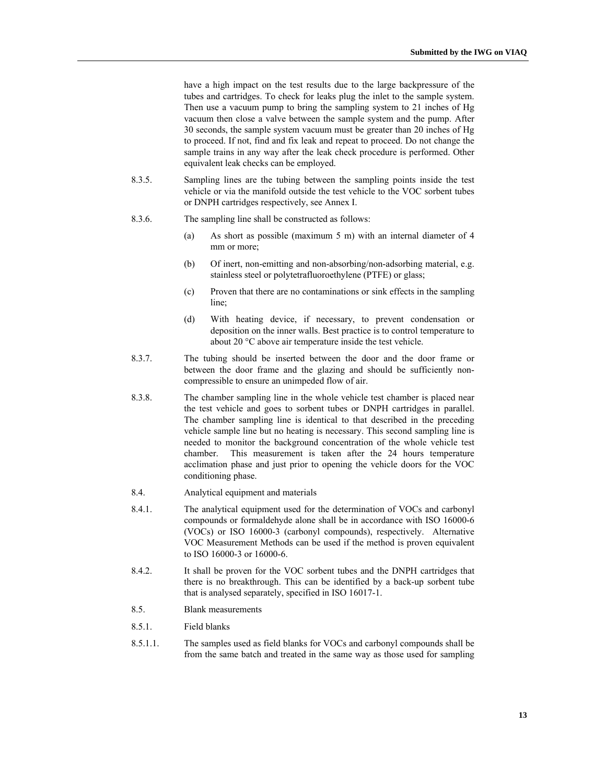have a high impact on the test results due to the large backpressure of the tubes and cartridges. To check for leaks plug the inlet to the sample system. Then use a vacuum pump to bring the sampling system to 21 inches of Hg vacuum then close a valve between the sample system and the pump. After 30 seconds, the sample system vacuum must be greater than 20 inches of Hg to proceed. If not, find and fix leak and repeat to proceed. Do not change the sample trains in any way after the leak check procedure is performed. Other equivalent leak checks can be employed.

- 8.3.5. Sampling lines are the tubing between the sampling points inside the test vehicle or via the manifold outside the test vehicle to the VOC sorbent tubes or DNPH cartridges respectively, see Annex I.
- 8.3.6. The sampling line shall be constructed as follows:
	- (a) As short as possible (maximum 5 m) with an internal diameter of 4 mm or more:
	- (b) Of inert, non-emitting and non-absorbing/non-adsorbing material, e.g. stainless steel or polytetrafluoroethylene (PTFE) or glass;
	- (c) Proven that there are no contaminations or sink effects in the sampling line;
	- (d) With heating device, if necessary, to prevent condensation or deposition on the inner walls. Best practice is to control temperature to about 20 °C above air temperature inside the test vehicle.
- 8.3.7. The tubing should be inserted between the door and the door frame or between the door frame and the glazing and should be sufficiently noncompressible to ensure an unimpeded flow of air.
- 8.3.8. The chamber sampling line in the whole vehicle test chamber is placed near the test vehicle and goes to sorbent tubes or DNPH cartridges in parallel. The chamber sampling line is identical to that described in the preceding vehicle sample line but no heating is necessary. This second sampling line is needed to monitor the background concentration of the whole vehicle test chamber. This measurement is taken after the 24 hours temperature acclimation phase and just prior to opening the vehicle doors for the VOC conditioning phase.
- 8.4. Analytical equipment and materials
- 8.4.1. The analytical equipment used for the determination of VOCs and carbonyl compounds or formaldehyde alone shall be in accordance with ISO 16000-6 (VOCs) or ISO 16000-3 (carbonyl compounds), respectively. Alternative VOC Measurement Methods can be used if the method is proven equivalent to ISO 16000-3 or 16000-6.
- 8.4.2. It shall be proven for the VOC sorbent tubes and the DNPH cartridges that there is no breakthrough. This can be identified by a back-up sorbent tube that is analysed separately, specified in ISO 16017-1.
- 8.5. Blank measurements
- 8.5.1. Field blanks
- 8.5.1.1. The samples used as field blanks for VOCs and carbonyl compounds shall be from the same batch and treated in the same way as those used for sampling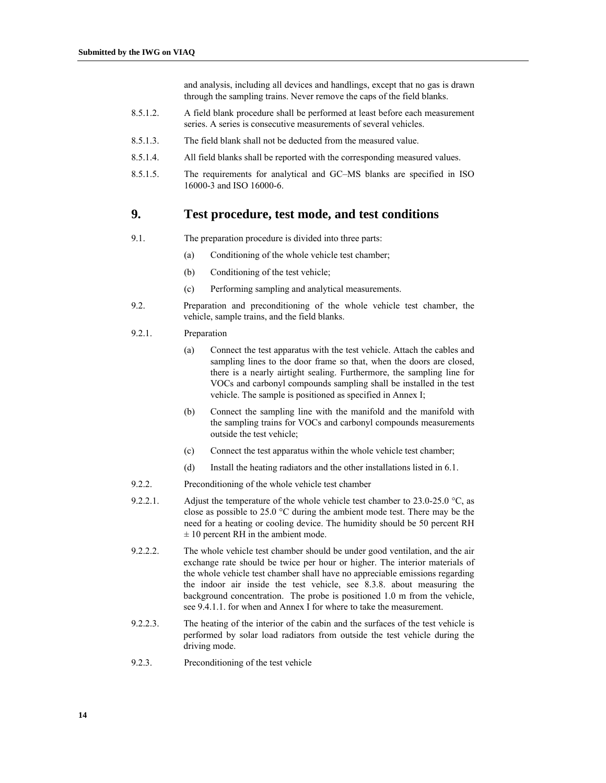and analysis, including all devices and handlings, except that no gas is drawn through the sampling trains. Never remove the caps of the field blanks.

- 8.5.1.2. A field blank procedure shall be performed at least before each measurement series. A series is consecutive measurements of several vehicles.
- 8.5.1.3. The field blank shall not be deducted from the measured value.
- 8.5.1.4. All field blanks shall be reported with the corresponding measured values.
- 8.5.1.5. The requirements for analytical and GC–MS blanks are specified in ISO 16000-3 and ISO 16000-6.

## **9. Test procedure, test mode, and test conditions**

- 9.1. The preparation procedure is divided into three parts:
	- (a) Conditioning of the whole vehicle test chamber;
	- (b) Conditioning of the test vehicle;
	- (c) Performing sampling and analytical measurements.
- 9.2. Preparation and preconditioning of the whole vehicle test chamber, the vehicle, sample trains, and the field blanks.

#### 9.2.1. Preparation

- (a) Connect the test apparatus with the test vehicle. Attach the cables and sampling lines to the door frame so that, when the doors are closed, there is a nearly airtight sealing. Furthermore, the sampling line for VOCs and carbonyl compounds sampling shall be installed in the test vehicle. The sample is positioned as specified in Annex I;
- (b) Connect the sampling line with the manifold and the manifold with the sampling trains for VOCs and carbonyl compounds measurements outside the test vehicle;
- (c) Connect the test apparatus within the whole vehicle test chamber;
- (d) Install the heating radiators and the other installations listed in 6.1.
- 9.2.2. Preconditioning of the whole vehicle test chamber
- 9.2.2.1. Adjust the temperature of the whole vehicle test chamber to 23.0-25.0  $\degree$ C, as close as possible to 25.0 °C during the ambient mode test. There may be the need for a heating or cooling device. The humidity should be 50 percent RH  $\pm$  10 percent RH in the ambient mode.
- 9.2.2.2. The whole vehicle test chamber should be under good ventilation, and the air exchange rate should be twice per hour or higher. The interior materials of the whole vehicle test chamber shall have no appreciable emissions regarding the indoor air inside the test vehicle, see 8.3.8. about measuring the background concentration. The probe is positioned 1.0 m from the vehicle, see 9.4.1.1. for when and Annex I for where to take the measurement.
- 9.2.2.3. The heating of the interior of the cabin and the surfaces of the test vehicle is performed by solar load radiators from outside the test vehicle during the driving mode.
- 9.2.3. Preconditioning of the test vehicle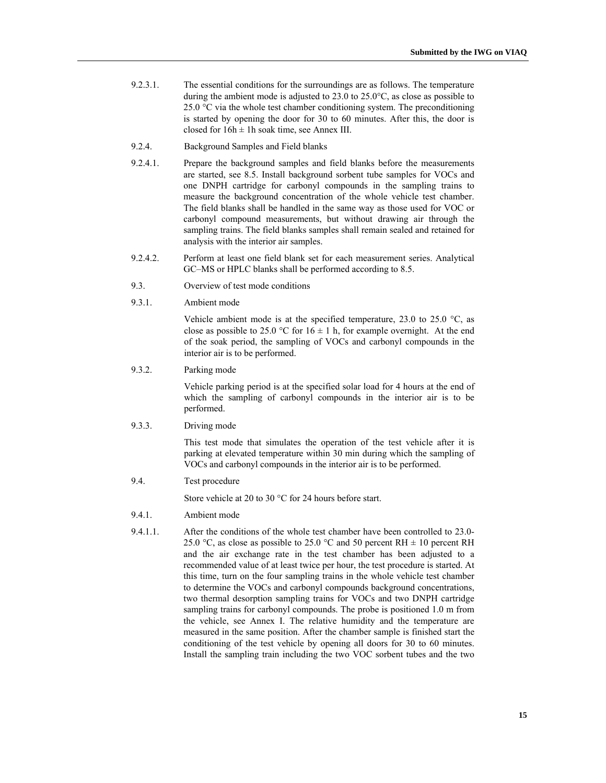- 9.2.3.1. The essential conditions for the surroundings are as follows. The temperature during the ambient mode is adjusted to 23.0 to 25.0°C, as close as possible to 25.0  $\degree$ C via the whole test chamber conditioning system. The preconditioning is started by opening the door for 30 to 60 minutes. After this, the door is closed for  $16h \pm 1h$  soak time, see Annex III.
- 9.2.4. Background Samples and Field blanks
- 9.2.4.1. Prepare the background samples and field blanks before the measurements are started, see 8.5. Install background sorbent tube samples for VOCs and one DNPH cartridge for carbonyl compounds in the sampling trains to measure the background concentration of the whole vehicle test chamber. The field blanks shall be handled in the same way as those used for VOC or carbonyl compound measurements, but without drawing air through the sampling trains. The field blanks samples shall remain sealed and retained for analysis with the interior air samples.
- 9.2.4.2. Perform at least one field blank set for each measurement series. Analytical GC–MS or HPLC blanks shall be performed according to 8.5.
- 9.3. Overview of test mode conditions
- 9.3.1. Ambient mode

Vehicle ambient mode is at the specified temperature, 23.0 to 25.0  $\degree$ C, as close as possible to 25.0 °C for  $16 \pm 1$  h, for example overnight. At the end of the soak period, the sampling of VOCs and carbonyl compounds in the interior air is to be performed.

9.3.2. Parking mode

Vehicle parking period is at the specified solar load for 4 hours at the end of which the sampling of carbonyl compounds in the interior air is to be performed.

9.3.3. Driving mode

This test mode that simulates the operation of the test vehicle after it is parking at elevated temperature within 30 min during which the sampling of VOCs and carbonyl compounds in the interior air is to be performed.

9.4. Test procedure

Store vehicle at 20 to 30 °C for 24 hours before start.

- 9.4.1. Ambient mode
- 9.4.1.1. After the conditions of the whole test chamber have been controlled to 23.0- 25.0 °C, as close as possible to 25.0 °C and 50 percent RH  $\pm$  10 percent RH and the air exchange rate in the test chamber has been adjusted to a recommended value of at least twice per hour, the test procedure is started. At this time, turn on the four sampling trains in the whole vehicle test chamber to determine the VOCs and carbonyl compounds background concentrations, two thermal desorption sampling trains for VOCs and two DNPH cartridge sampling trains for carbonyl compounds. The probe is positioned 1.0 m from the vehicle, see Annex I. The relative humidity and the temperature are measured in the same position. After the chamber sample is finished start the conditioning of the test vehicle by opening all doors for 30 to 60 minutes. Install the sampling train including the two VOC sorbent tubes and the two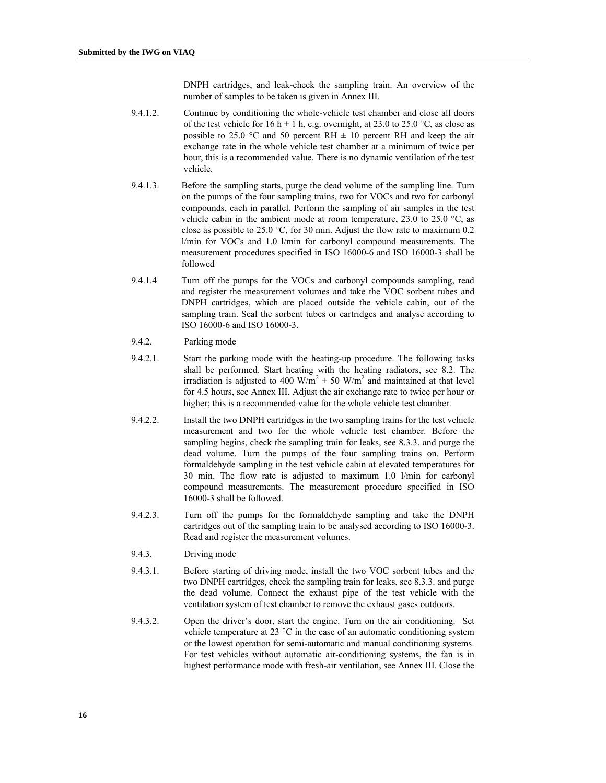DNPH cartridges, and leak-check the sampling train. An overview of the number of samples to be taken is given in Annex III.

- 9.4.1.2. Continue by conditioning the whole-vehicle test chamber and close all doors of the test vehicle for 16 h  $\pm$  1 h, e.g. overnight, at 23.0 to 25.0 °C, as close as possible to 25.0 °C and 50 percent RH  $\pm$  10 percent RH and keep the air exchange rate in the whole vehicle test chamber at a minimum of twice per hour, this is a recommended value. There is no dynamic ventilation of the test vehicle.
- 9.4.1.3. Before the sampling starts, purge the dead volume of the sampling line. Turn on the pumps of the four sampling trains, two for VOCs and two for carbonyl compounds, each in parallel. Perform the sampling of air samples in the test vehicle cabin in the ambient mode at room temperature, 23.0 to 25.0  $\degree$ C, as close as possible to 25.0 °C, for 30 min. Adjust the flow rate to maximum 0.2 l/min for VOCs and 1.0 l/min for carbonyl compound measurements. The measurement procedures specified in ISO 16000-6 and ISO 16000-3 shall be followed
- 9.4.1.4 Turn off the pumps for the VOCs and carbonyl compounds sampling, read and register the measurement volumes and take the VOC sorbent tubes and DNPH cartridges, which are placed outside the vehicle cabin, out of the sampling train. Seal the sorbent tubes or cartridges and analyse according to ISO 16000-6 and ISO 16000-3.
- 9.4.2. Parking mode
- 9.4.2.1. Start the parking mode with the heating-up procedure. The following tasks shall be performed. Start heating with the heating radiators, see 8.2. The irradiation is adjusted to 400 W/m<sup>2</sup>  $\pm$  50 W/m<sup>2</sup> and maintained at that level for 4.5 hours, see Annex III. Adjust the air exchange rate to twice per hour or higher; this is a recommended value for the whole vehicle test chamber.
- 9.4.2.2. Install the two DNPH cartridges in the two sampling trains for the test vehicle measurement and two for the whole vehicle test chamber. Before the sampling begins, check the sampling train for leaks, see 8.3.3. and purge the dead volume. Turn the pumps of the four sampling trains on. Perform formaldehyde sampling in the test vehicle cabin at elevated temperatures for 30 min. The flow rate is adjusted to maximum 1.0 l/min for carbonyl compound measurements. The measurement procedure specified in ISO 16000-3 shall be followed.
- 9.4.2.3. Turn off the pumps for the formaldehyde sampling and take the DNPH cartridges out of the sampling train to be analysed according to ISO 16000-3. Read and register the measurement volumes.
- 9.4.3. Driving mode
- 9.4.3.1. Before starting of driving mode, install the two VOC sorbent tubes and the two DNPH cartridges, check the sampling train for leaks, see 8.3.3. and purge the dead volume. Connect the exhaust pipe of the test vehicle with the ventilation system of test chamber to remove the exhaust gases outdoors.
- 9.4.3.2. Open the driver's door, start the engine. Turn on the air conditioning. Set vehicle temperature at 23 °C in the case of an automatic conditioning system or the lowest operation for semi-automatic and manual conditioning systems. For test vehicles without automatic air-conditioning systems, the fan is in highest performance mode with fresh-air ventilation, see Annex III. Close the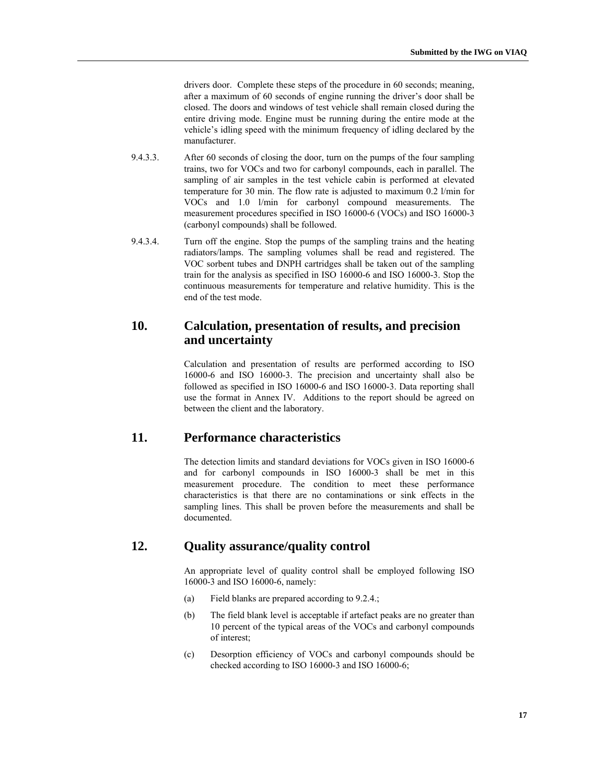drivers door. Complete these steps of the procedure in 60 seconds; meaning, after a maximum of 60 seconds of engine running the driver's door shall be closed. The doors and windows of test vehicle shall remain closed during the entire driving mode. Engine must be running during the entire mode at the vehicle's idling speed with the minimum frequency of idling declared by the manufacturer.

- 9.4.3.3. After 60 seconds of closing the door, turn on the pumps of the four sampling trains, two for VOCs and two for carbonyl compounds, each in parallel. The sampling of air samples in the test vehicle cabin is performed at elevated temperature for 30 min. The flow rate is adjusted to maximum 0.2 l/min for VOCs and 1.0 l/min for carbonyl compound measurements. The measurement procedures specified in ISO 16000-6 (VOCs) and ISO 16000-3 (carbonyl compounds) shall be followed.
- 9.4.3.4. Turn off the engine. Stop the pumps of the sampling trains and the heating radiators/lamps. The sampling volumes shall be read and registered. The VOC sorbent tubes and DNPH cartridges shall be taken out of the sampling train for the analysis as specified in ISO 16000-6 and ISO 16000-3. Stop the continuous measurements for temperature and relative humidity. This is the end of the test mode.

## **10. Calculation, presentation of results, and precision and uncertainty**

Calculation and presentation of results are performed according to ISO 16000-6 and ISO 16000-3. The precision and uncertainty shall also be followed as specified in ISO 16000-6 and ISO 16000-3. Data reporting shall use the format in Annex IV. Additions to the report should be agreed on between the client and the laboratory.

## **11. Performance characteristics**

The detection limits and standard deviations for VOCs given in ISO 16000-6 and for carbonyl compounds in ISO 16000-3 shall be met in this measurement procedure. The condition to meet these performance characteristics is that there are no contaminations or sink effects in the sampling lines. This shall be proven before the measurements and shall be documented.

# **12. Quality assurance/quality control**

An appropriate level of quality control shall be employed following ISO 16000-3 and ISO 16000-6, namely:

- (a) Field blanks are prepared according to 9.2.4.;
- (b) The field blank level is acceptable if artefact peaks are no greater than 10 percent of the typical areas of the VOCs and carbonyl compounds of interest;
- (c) Desorption efficiency of VOCs and carbonyl compounds should be checked according to ISO 16000-3 and ISO 16000-6;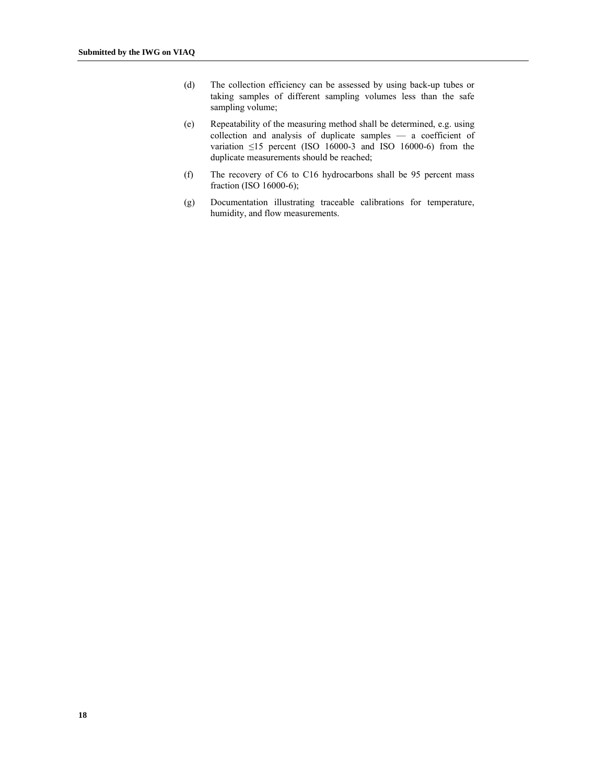- (d) The collection efficiency can be assessed by using back-up tubes or taking samples of different sampling volumes less than the safe sampling volume;
- (e) Repeatability of the measuring method shall be determined, e.g. using collection and analysis of duplicate samples — a coefficient of variation  $\leq$ 15 percent (ISO 16000-3 and ISO 16000-6) from the duplicate measurements should be reached;
- (f) The recovery of C6 to C16 hydrocarbons shall be 95 percent mass fraction (ISO 16000-6);
- (g) Documentation illustrating traceable calibrations for temperature, humidity, and flow measurements.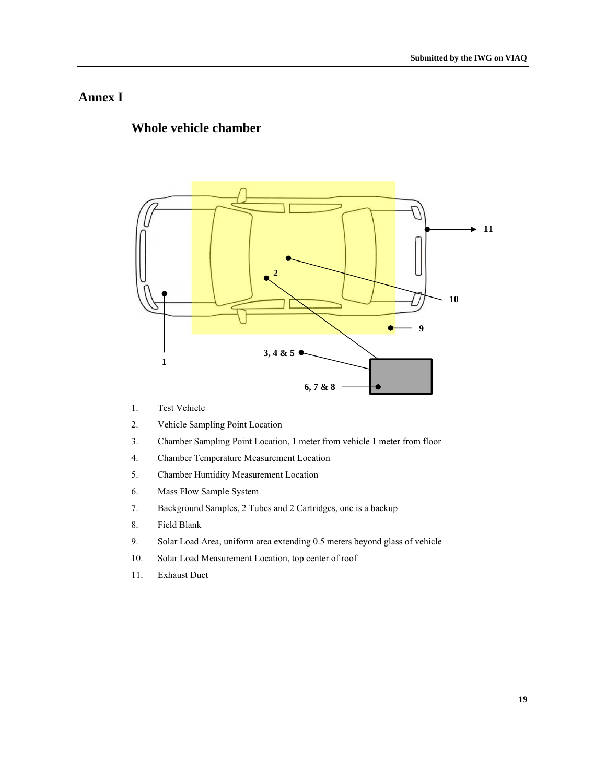# **Annex I**

# **Whole vehicle chamber**



- 1. Test Vehicle
- 2. Vehicle Sampling Point Location
- 3. Chamber Sampling Point Location, 1 meter from vehicle 1 meter from floor
- 4. Chamber Temperature Measurement Location
- 5. Chamber Humidity Measurement Location
- 6. Mass Flow Sample System
- 7. Background Samples, 2 Tubes and 2 Cartridges, one is a backup
- 8. Field Blank
- 9. Solar Load Area, uniform area extending 0.5 meters beyond glass of vehicle
- 10. Solar Load Measurement Location, top center of roof
- 11. Exhaust Duct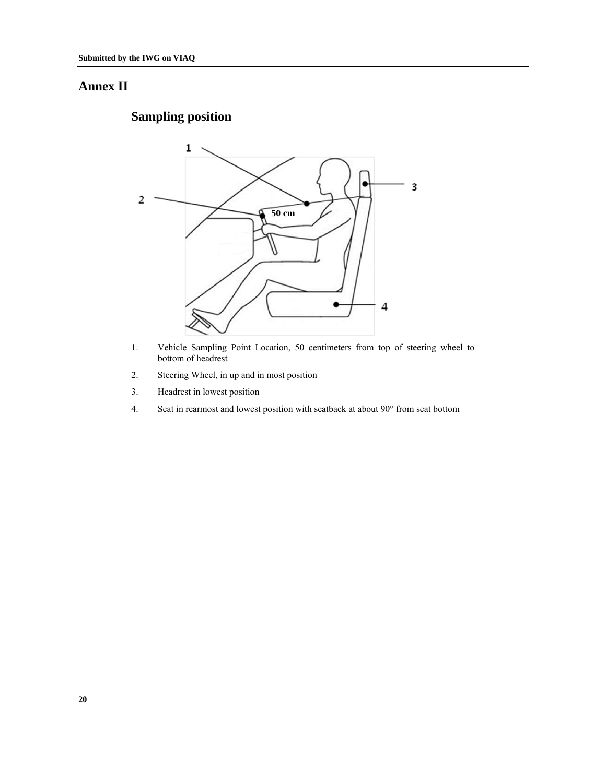# **Annex II**

# **Sampling position**



- 1. Vehicle Sampling Point Location, 50 centimeters from top of steering wheel to bottom of headrest
- 2. Steering Wheel, in up and in most position
- 3. Headrest in lowest position
- 4. Seat in rearmost and lowest position with seatback at about 90° from seat bottom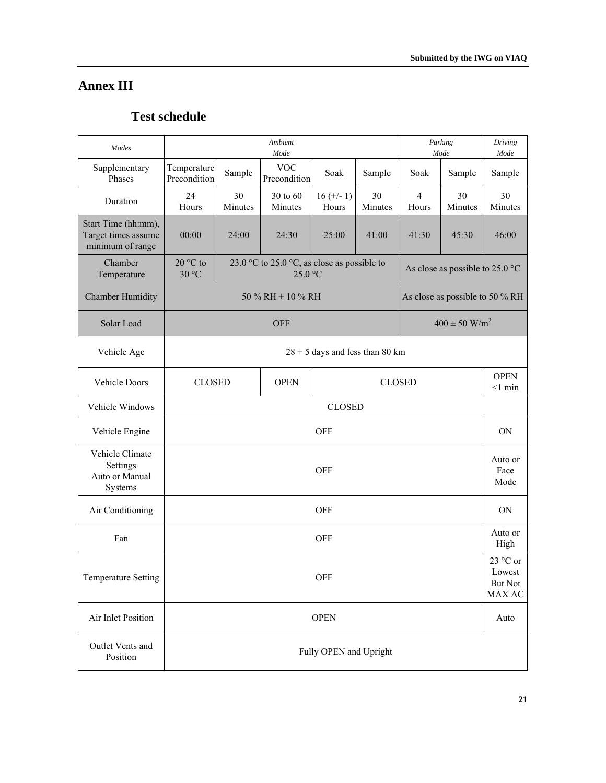# **Annex III**

# **Test schedule**

| Modes                                                          | Ambient<br>Parking<br>Mode<br>Mode                                    |                                                        |                                                        |                        |               |                         |                                           |                         |  |
|----------------------------------------------------------------|-----------------------------------------------------------------------|--------------------------------------------------------|--------------------------------------------------------|------------------------|---------------|-------------------------|-------------------------------------------|-------------------------|--|
| Supplementary<br>Phases                                        | Temperature<br>Precondition                                           | <b>VOC</b><br>Sample<br>Soak<br>Sample<br>Precondition |                                                        |                        |               |                         | Sample                                    | Mode<br>Sample          |  |
| Duration                                                       | 24<br>Hours                                                           | 30<br>Minutes                                          | 30 to 60<br>Minutes                                    | $16 (+/- 1)$<br>Hours  | 30<br>Minutes | $\overline{4}$<br>Hours | 30<br>Minutes                             | 30<br>Minutes           |  |
| Start Time (hh:mm),<br>Target times assume<br>minimum of range | 00:00                                                                 | 24:00                                                  | 24:30                                                  | 25:00                  | 41:00         | 41:30                   | 45:30                                     | 46:00                   |  |
| Chamber<br>Temperature                                         | 20 °C to<br>30 °C                                                     |                                                        | 23.0 °C to 25.0 °C, as close as possible to<br>25.0 °C |                        |               |                         | As close as possible to 25.0 $^{\circ}$ C |                         |  |
| <b>Chamber Humidity</b>                                        |                                                                       |                                                        | 50 % RH $\pm$ 10 % RH                                  |                        |               |                         | As close as possible to 50 % RH           |                         |  |
| Solar Load                                                     |                                                                       |                                                        | <b>OFF</b>                                             |                        |               |                         | $400 \pm 50$ W/m <sup>2</sup>             |                         |  |
| Vehicle Age                                                    |                                                                       | $28 \pm 5$ days and less than 80 km                    |                                                        |                        |               |                         |                                           |                         |  |
| Vehicle Doors                                                  | <b>CLOSED</b><br><b>OPEN</b><br><b>CLOSED</b>                         |                                                        |                                                        |                        |               |                         |                                           |                         |  |
| Vehicle Windows                                                | <b>CLOSED</b>                                                         |                                                        |                                                        |                        |               |                         |                                           |                         |  |
| Vehicle Engine                                                 | <b>OFF</b>                                                            |                                                        |                                                        |                        |               |                         |                                           | <b>ON</b>               |  |
| Vehicle Climate<br>Settings<br>Auto or Manual<br>Systems       |                                                                       |                                                        |                                                        | <b>OFF</b>             |               |                         |                                           | Auto or<br>Face<br>Mode |  |
| Air Conditioning                                               |                                                                       |                                                        |                                                        | <b>OFF</b>             |               |                         |                                           | <b>ON</b>               |  |
| Fan                                                            |                                                                       | Auto or<br><b>OFF</b>                                  |                                                        |                        |               |                         |                                           |                         |  |
| Temperature Setting                                            | 23 $\degree$ C or<br>Lowest<br><b>OFF</b><br><b>But Not</b><br>MAX AC |                                                        |                                                        |                        |               |                         |                                           |                         |  |
| Air Inlet Position                                             | <b>OPEN</b>                                                           |                                                        |                                                        |                        |               |                         |                                           |                         |  |
| Outlet Vents and<br>Position                                   |                                                                       |                                                        |                                                        | Fully OPEN and Upright |               |                         |                                           |                         |  |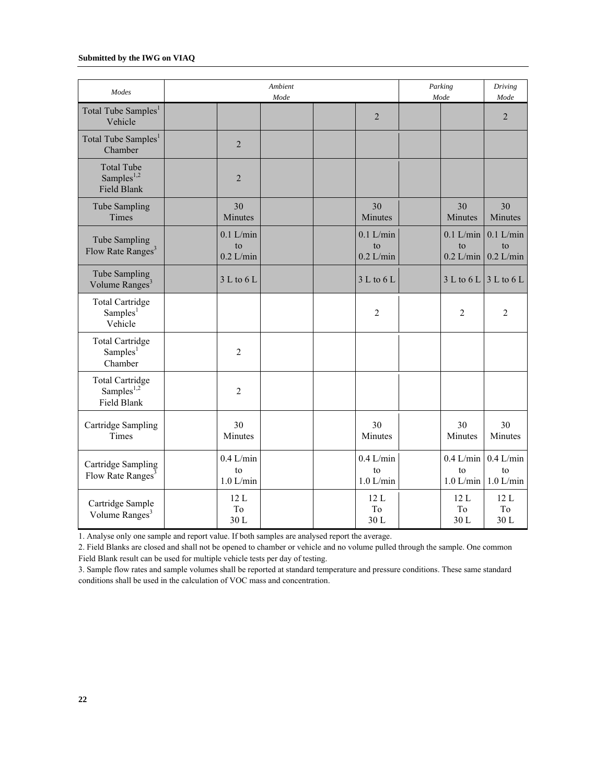| Modes                                                      |                                  | <b>Ambient</b><br>Mode |                                  | Parking<br>Mode                  | Driving<br>Mode                  |
|------------------------------------------------------------|----------------------------------|------------------------|----------------------------------|----------------------------------|----------------------------------|
| Total Tube Samples <sup>1</sup><br>Vehicle                 |                                  |                        | $\overline{2}$                   |                                  | $\overline{2}$                   |
| Total Tube Samples <sup>1</sup><br>Chamber                 | $\overline{2}$                   |                        |                                  |                                  |                                  |
| <b>Total Tube</b><br>Samples <sup>1,2</sup><br>Field Blank | $\overline{2}$                   |                        |                                  |                                  |                                  |
| Tube Sampling<br>Times                                     | 30<br>Minutes                    |                        | 30<br>Minutes                    | 30<br>Minutes                    | 30<br>Minutes                    |
| Tube Sampling<br>Flow Rate Ranges <sup>3</sup>             | $0.1$ L/min<br>to<br>$0.2$ L/min |                        | $0.1$ L/min<br>to<br>$0.2$ L/min | $0.1$ L/min<br>to<br>$0.2$ L/min | $0.1$ L/min<br>to<br>$0.2$ L/min |
| Tube Sampling<br>Volume Ranges <sup>3</sup>                | 3 L to 6 L                       |                        | 3 L to 6 L                       | 3 L to 6 L                       | 3 L to 6 L                       |
| <b>Total Cartridge</b><br>Samples <sup>1</sup><br>Vehicle  |                                  |                        | $\overline{2}$                   | $\overline{2}$                   | $\overline{2}$                   |
| <b>Total Cartridge</b><br>Sampling <sup>1</sup><br>Chamber | $\overline{2}$                   |                        |                                  |                                  |                                  |
| <b>Total Cartridge</b><br>Samples $1,2$<br>Field Blank     | $\overline{2}$                   |                        |                                  |                                  |                                  |
| Cartridge Sampling<br>Times                                | 30<br>Minutes                    |                        | 30<br>Minutes                    | 30<br>Minutes                    | 30<br>Minutes                    |
| Cartridge Sampling<br>Flow Rate Ranges <sup>3</sup>        | $0.4$ L/min<br>to<br>$1.0$ L/min |                        | $0.4$ L/min<br>to<br>$1.0$ L/min | $0.4$ L/min<br>to<br>$1.0$ L/min | $0.4$ L/min<br>to<br>$1.0$ L/min |
| Cartridge Sample<br>Volume Ranges <sup>3</sup>             | 12L<br>T <sub>o</sub><br>30L     |                        | 12L<br>To<br>30L                 | 12L<br>T <sub>0</sub><br>30L     | 12L<br>To<br>30L                 |

1. Analyse only one sample and report value. If both samples are analysed report the average.

2. Field Blanks are closed and shall not be opened to chamber or vehicle and no volume pulled through the sample. One common Field Blank result can be used for multiple vehicle tests per day of testing.

3. Sample flow rates and sample volumes shall be reported at standard temperature and pressure conditions. These same standard conditions shall be used in the calculation of VOC mass and concentration.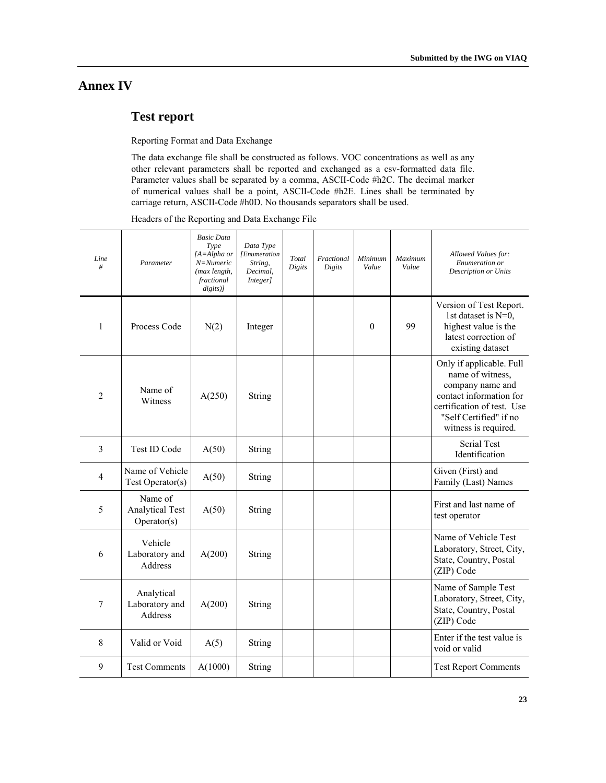# **Annex IV**

# **Test report**

Reporting Format and Data Exchange

The data exchange file shall be constructed as follows. VOC concentrations as well as any other relevant parameters shall be reported and exchanged as a csv-formatted data file. Parameter values shall be separated by a comma, ASCII-Code #h2C. The decimal marker of numerical values shall be a point, ASCII-Code #h2E. Lines shall be terminated by carriage return, ASCII-Code #h0D. No thousands separators shall be used.

Headers of the Reporting and Data Exchange File

| Line<br>#    | Parameter                                        | <b>Basic Data</b><br>Type<br>$[A = Alpha$ or<br>N=Numeric<br>(max length,<br>fractional<br>$digits$ )] | Data Type<br>[Enumeration<br>String,<br>Decimal,<br>Integer] | Total<br>Digits | Fractional<br>Digits | Minimum<br>Value | <b>Maximum</b><br>Value | Allowed Values for:<br>Enumeration or<br><b>Description or Units</b>                                                                                                        |
|--------------|--------------------------------------------------|--------------------------------------------------------------------------------------------------------|--------------------------------------------------------------|-----------------|----------------------|------------------|-------------------------|-----------------------------------------------------------------------------------------------------------------------------------------------------------------------------|
| $\mathbf{1}$ | Process Code                                     | N(2)                                                                                                   | Integer                                                      |                 |                      | $\theta$         | 99                      | Version of Test Report.<br>1st dataset is N=0,<br>highest value is the<br>latest correction of<br>existing dataset                                                          |
| 2            | Name of<br>Witness                               | A(250)                                                                                                 | String                                                       |                 |                      |                  |                         | Only if applicable. Full<br>name of witness,<br>company name and<br>contact information for<br>certification of test. Use<br>"Self Certified" if no<br>witness is required. |
| 3            | Test ID Code                                     | A(50)                                                                                                  | String                                                       |                 |                      |                  |                         | <b>Serial Test</b><br>Identification                                                                                                                                        |
| 4            | Name of Vehicle<br>Test Operator(s)              | A(50)                                                                                                  | String                                                       |                 |                      |                  |                         | Given (First) and<br>Family (Last) Names                                                                                                                                    |
| 5            | Name of<br><b>Analytical Test</b><br>Operator(s) | A(50)                                                                                                  | String                                                       |                 |                      |                  |                         | First and last name of<br>test operator                                                                                                                                     |
| 6            | Vehicle<br>Laboratory and<br>Address             | A(200)                                                                                                 | String                                                       |                 |                      |                  |                         | Name of Vehicle Test<br>Laboratory, Street, City,<br>State, Country, Postal<br>(ZIP) Code                                                                                   |
| 7            | Analytical<br>Laboratory and<br>Address          | A(200)                                                                                                 | String                                                       |                 |                      |                  |                         | Name of Sample Test<br>Laboratory, Street, City,<br>State, Country, Postal<br>(ZIP) Code                                                                                    |
| 8            | Valid or Void                                    | A(5)                                                                                                   | String                                                       |                 |                      |                  |                         | Enter if the test value is<br>void or valid                                                                                                                                 |
| 9            | <b>Test Comments</b>                             | A(1000)                                                                                                | <b>String</b>                                                |                 |                      |                  |                         | <b>Test Report Comments</b>                                                                                                                                                 |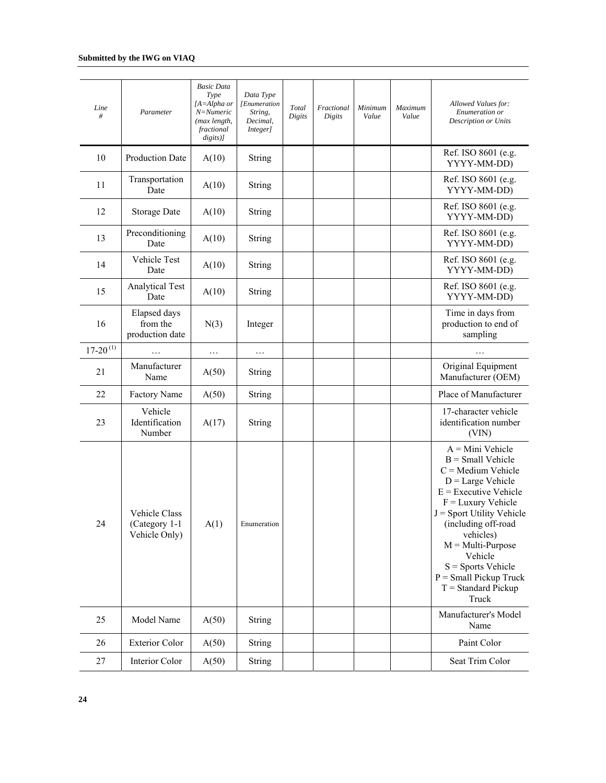| Line<br>#     | Parameter                                       | <b>Basic Data</b><br>Type<br>[A=Alpha or<br>N=Numeric<br>(max length,<br>fractional<br>digits)] | Data Type<br>[Enumeration<br>String,<br>Decimal,<br>Integer] | Total<br>Digits | Fractional<br>Digits | Minimum<br>Value | Maximum<br>Value | Allowed Values for:<br>Enumeration or<br>Description or Units                                                                                                                                                                                                                                                                        |
|---------------|-------------------------------------------------|-------------------------------------------------------------------------------------------------|--------------------------------------------------------------|-----------------|----------------------|------------------|------------------|--------------------------------------------------------------------------------------------------------------------------------------------------------------------------------------------------------------------------------------------------------------------------------------------------------------------------------------|
| 10            | Production Date                                 | A(10)                                                                                           | <b>String</b>                                                |                 |                      |                  |                  | Ref. ISO 8601 (e.g.<br>YYYY-MM-DD)                                                                                                                                                                                                                                                                                                   |
| 11            | Transportation<br>Date                          | A(10)                                                                                           | String                                                       |                 |                      |                  |                  | Ref. ISO 8601 (e.g.<br>YYYY-MM-DD)                                                                                                                                                                                                                                                                                                   |
| 12            | <b>Storage Date</b>                             | A(10)                                                                                           | String                                                       |                 |                      |                  |                  | Ref. ISO 8601 (e.g.<br>YYYY-MM-DD)                                                                                                                                                                                                                                                                                                   |
| 13            | Preconditioning<br>Date                         | A(10)                                                                                           | <b>String</b>                                                |                 |                      |                  |                  | Ref. ISO 8601 (e.g.<br>YYYY-MM-DD)                                                                                                                                                                                                                                                                                                   |
| 14            | Vehicle Test<br>Date                            | A(10)                                                                                           | String                                                       |                 |                      |                  |                  | Ref. ISO 8601 (e.g.<br>YYYY-MM-DD)                                                                                                                                                                                                                                                                                                   |
| 15            | <b>Analytical Test</b><br>Date                  | A(10)                                                                                           | String                                                       |                 |                      |                  |                  | Ref. ISO 8601 (e.g.<br>YYYY-MM-DD)                                                                                                                                                                                                                                                                                                   |
| 16            | Elapsed days<br>from the<br>production date     | N(3)                                                                                            | Integer                                                      |                 |                      |                  |                  | Time in days from<br>production to end of<br>sampling                                                                                                                                                                                                                                                                                |
| $17-20^{(1)}$ |                                                 | $\ldots$                                                                                        | .                                                            |                 |                      |                  |                  |                                                                                                                                                                                                                                                                                                                                      |
| 21            | Manufacturer<br>Name                            | A(50)                                                                                           | String                                                       |                 |                      |                  |                  | Original Equipment<br>Manufacturer (OEM)                                                                                                                                                                                                                                                                                             |
| 22            | Factory Name                                    | A(50)                                                                                           | <b>String</b>                                                |                 |                      |                  |                  | Place of Manufacturer                                                                                                                                                                                                                                                                                                                |
| 23            | Vehicle<br>Identification<br>Number             | A(17)                                                                                           | <b>String</b>                                                |                 |                      |                  |                  | 17-character vehicle<br>identification number<br>(VIN)                                                                                                                                                                                                                                                                               |
| 24            | Vehicle Class<br>(Category 1-1<br>Vehicle Only) | A(1)                                                                                            | Enumeration                                                  |                 |                      |                  |                  | $A = Mini$ Vehicle<br>$B = Small$ Vehicle<br>$C =$ Medium Vehicle<br>$D = Large Vehicle$<br>$E =$ Executive Vehicle<br>$F =$ Luxury Vehicle<br>J = Sport Utility Vehicle<br>(including off-road<br>vehicles)<br>$M = Multi-Purpose$<br>Vehicle<br>$S =$ Sports Vehicle<br>$P = Small$ Pickup Truck<br>$T = Standard Pickup$<br>Truck |
| 25            | Model Name                                      | A(50)                                                                                           | String                                                       |                 |                      |                  |                  | Manufacturer's Model<br>Name                                                                                                                                                                                                                                                                                                         |
| 26            | <b>Exterior Color</b>                           | A(50)                                                                                           | String                                                       |                 |                      |                  |                  | Paint Color                                                                                                                                                                                                                                                                                                                          |
| 27            | Interior Color                                  | A(50)                                                                                           | <b>String</b>                                                |                 |                      |                  |                  | Seat Trim Color                                                                                                                                                                                                                                                                                                                      |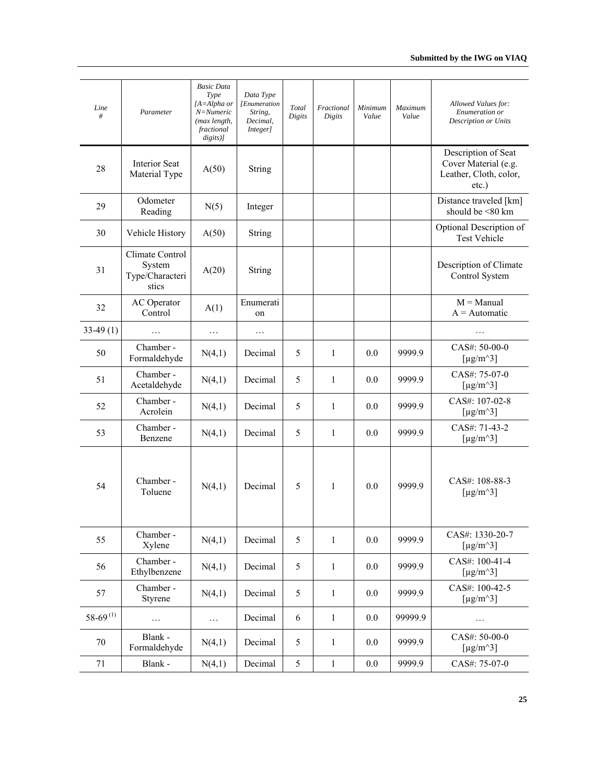| Line<br>#       | Parameter                                             | <b>Basic Data</b><br>Type<br>$[A = Alpha$ or<br>N=Numeric<br>(max length,<br>fractional<br>$digits$ ] | Data Type<br>[Enumeration<br>String,<br>Decimal,<br>Integer] | Total<br>Digits | Fractional<br>Digits | Minimum<br>Value | Maximum<br>Value | Allowed Values for:<br>Enumeration or<br><b>Description or Units</b>              |
|-----------------|-------------------------------------------------------|-------------------------------------------------------------------------------------------------------|--------------------------------------------------------------|-----------------|----------------------|------------------|------------------|-----------------------------------------------------------------------------------|
| 28              | Interior Seat<br>Material Type                        | A(50)                                                                                                 | String                                                       |                 |                      |                  |                  | Description of Seat<br>Cover Material (e.g.<br>Leather, Cloth, color,<br>$etc.$ ) |
| 29              | Odometer<br>Reading                                   | N(5)                                                                                                  | Integer                                                      |                 |                      |                  |                  | Distance traveled [km]<br>should be <80 km                                        |
| 30              | Vehicle History                                       | A(50)                                                                                                 | String                                                       |                 |                      |                  |                  | Optional Description of<br><b>Test Vehicle</b>                                    |
| 31              | Climate Control<br>System<br>Type/Characteri<br>stics | A(20)                                                                                                 | String                                                       |                 |                      |                  |                  | Description of Climate<br>Control System                                          |
| 32              | AC Operator<br>Control                                | A(1)                                                                                                  | Enumerati<br>on                                              |                 |                      |                  |                  | $M =$ Manual<br>$A =$ Automatic                                                   |
| $33-49(1)$      | $\ddotsc$                                             | .                                                                                                     | .                                                            |                 |                      |                  |                  |                                                                                   |
| 50              | Chamber -<br>Formaldehyde                             | N(4,1)                                                                                                | Decimal                                                      | 5               | $\mathbf{1}$         | 0.0              | 9999.9           | CAS#: 50-00-0<br>[ $\mu$ g/m <sup><math>\land</math>3]</sup>                      |
| 51              | Chamber -<br>Acetaldehyde                             | N(4,1)                                                                                                | Decimal                                                      | 5               | 1                    | 0.0              | 9999.9           | CAS#: 75-07-0<br>[ $\mu$ g/m <sup><math>\land</math>3]</sup>                      |
| 52              | Chamber -<br>Acrolein                                 | N(4,1)                                                                                                | Decimal                                                      | 5               | $\mathbf{1}$         | 0.0              | 9999.9           | CAS#: 107-02-8<br>[ $\mu$ g/m <sup><math>\land</math>3]</sup>                     |
| 53              | Chamber -<br>Benzene                                  | N(4,1)                                                                                                | Decimal                                                      | 5               | $\mathbf{1}$         | 0.0              | 9999.9           | CAS#: 71-43-2<br>[ $\mu$ g/m <sup><math>\land</math>3]</sup>                      |
| 54              | Chamber -<br>Toluene                                  | N(4,1)                                                                                                | Decimal                                                      | 5               | $\mathbf{1}$         | 0.0              | 9999.9           | CAS#: 108-88-3<br>[ $\mu$ g/m <sup><math>\land</math>3]</sup>                     |
| 55              | Chamber -<br>Xylene                                   | N(4,1)                                                                                                | Decimal                                                      | 5               | 1                    | 0.0              | 9999.9           | CAS#: 1330-20-7<br>[ $\mu$ g/m <sup><math>\land</math>3]</sup>                    |
| 56              | Chamber -<br>Ethylbenzene                             | N(4,1)                                                                                                | Decimal                                                      | 5               | $\mathbf{1}$         | 0.0              | 9999.9           | CAS#: 100-41-4<br>[ $\mu$ g/m <sup><math>\land</math>3]</sup>                     |
| 57              | Chamber -<br>Styrene                                  | N(4,1)                                                                                                | Decimal                                                      | 5               | $\mathbf{1}$         | 0.0              | 9999.9           | CAS#: 100-42-5<br>[ $\mu$ g/m <sup><math>\land</math></sup> 3]                    |
| $58 - 69^{(1)}$ | $\cdots$                                              | .                                                                                                     | Decimal                                                      | 6               | $\mathbf{1}$         | 0.0              | 99999.9          | .                                                                                 |
| $70\,$          | Blank -<br>Formaldehyde                               | N(4,1)                                                                                                | Decimal                                                      | 5               | $\mathbf{1}$         | 0.0              | 9999.9           | CAS#: 50-00-0<br>[ $\mu$ g/m <sup><math>\land</math>3]</sup>                      |
| 71              | Blank -                                               | N(4,1)                                                                                                | Decimal                                                      | $\mathfrak s$   | $\mathbf{1}$         | 0.0              | 9999.9           | CAS#: 75-07-0                                                                     |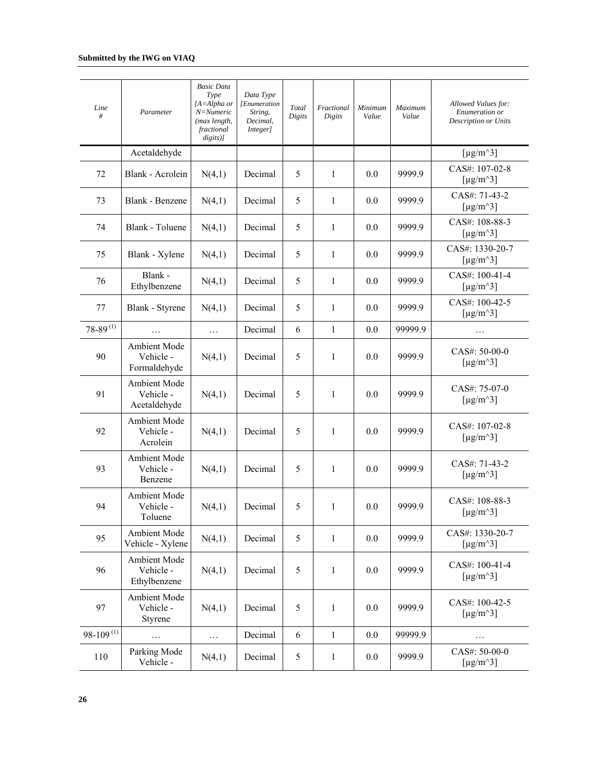| Line<br>#       | Parameter                                 | <b>Basic Data</b><br>Type<br>$[A = Alpha$ or<br>N=Numeric<br>(max length,<br>fractional<br>$disits)$ ] | Data Type<br>[Enumeration<br>String,<br>Decimal,<br>Integer] | Total<br>Digits | Fractional<br>Digits | Minimum<br>Value | Maximum<br>Value | Allowed Values for:<br>Enumeration or<br>Description or Units  |
|-----------------|-------------------------------------------|--------------------------------------------------------------------------------------------------------|--------------------------------------------------------------|-----------------|----------------------|------------------|------------------|----------------------------------------------------------------|
|                 | Acetaldehyde                              |                                                                                                        |                                                              |                 |                      |                  |                  | [ $\mu$ g/m <sup><math>\land</math>3]</sup>                    |
| 72              | Blank - Acrolein                          | N(4,1)                                                                                                 | Decimal                                                      | 5               | 1                    | 0.0              | 9999.9           | CAS#: 107-02-8<br>[ $\mu$ g/m <sup><math>\land</math>3]</sup>  |
| 73              | Blank - Benzene                           | N(4,1)                                                                                                 | Decimal                                                      | 5               | $\mathbf{1}$         | 0.0              | 9999.9           | CAS#: 71-43-2<br>[ $\mu$ g/m <sup><math>\land</math>3]</sup>   |
| 74              | Blank - Toluene                           | N(4,1)                                                                                                 | Decimal                                                      | 5               | $\mathbf{1}$         | 0.0              | 9999.9           | CAS#: 108-88-3<br>[ $\mu$ g/m <sup><math>\land</math>3]</sup>  |
| 75              | Blank - Xylene                            | N(4,1)                                                                                                 | Decimal                                                      | 5               | $\mathbf{1}$         | 0.0              | 9999.9           | CAS#: 1330-20-7<br>[ $\mu$ g/m <sup><math>\land</math>3]</sup> |
| 76              | Blank -<br>Ethylbenzene                   | N(4,1)                                                                                                 | Decimal                                                      | 5               | $\mathbf{1}$         | 0.0              | 9999.9           | CAS#: 100-41-4<br>[ $\mu$ g/m <sup><math>\land</math>3]</sup>  |
| 77              | Blank - Styrene                           | N(4,1)                                                                                                 | Decimal                                                      | 5               | $\mathbf{1}$         | 0.0              | 9999.9           | CAS#: 100-42-5<br>[ $\mu$ g/m <sup><math>\land</math>3]</sup>  |
| $78 - 89^{(1)}$ | .                                         | $\ldots$                                                                                               | Decimal                                                      | 6               | $\mathbf{1}$         | 0.0              | 99999.9          | .                                                              |
| 90              | Ambient Mode<br>Vehicle -<br>Formaldehyde | N(4,1)                                                                                                 | Decimal                                                      | 5               | $\mathbf{1}$         | 0.0              | 9999.9           | CAS#: 50-00-0<br>[ $\mu$ g/m <sup><math>\land</math></sup> 3]  |
| 91              | Ambient Mode<br>Vehicle -<br>Acetaldehyde | N(4,1)                                                                                                 | Decimal                                                      | 5               | $\mathbf{1}$         | 0.0              | 9999.9           | CAS#: 75-07-0<br>[ $\mu$ g/m <sup><math>\land</math>3]</sup>   |
| 92              | Ambient Mode<br>Vehicle -<br>Acrolein     | N(4,1)                                                                                                 | Decimal                                                      | 5               | $\mathbf{1}$         | 0.0              | 9999.9           | CAS#: 107-02-8<br>[ $\mu$ g/m <sup><math>\land</math>3]</sup>  |
| 93              | Ambient Mode<br>Vehicle -<br>Benzene      | N(4,1)                                                                                                 | Decimal                                                      | 5               | 1                    | 0.0              | 9999.9           | CAS#: 71-43-2<br>[ $\mu$ g/m <sup><math>\land</math></sup> 3]  |
| 94              | Ambient Mode<br>Vehicle -<br>Toluene      | N(4,1)                                                                                                 | Decimal                                                      | 5               | $\mathbf{1}$         | 0.0              | 9999.9           | CAS#: 108-88-3<br>$[\mu g/m^3]$                                |
| 95              | Ambient Mode<br>Vehicle - Xylene          | N(4,1)                                                                                                 | Decimal                                                      | 5               | $\mathbf{1}$         | 0.0              | 9999.9           | CAS#: 1330-20-7<br>[ $\mu$ g/m <sup><math>\land</math>3]</sup> |
| 96              | Ambient Mode<br>Vehicle -<br>Ethylbenzene | N(4,1)                                                                                                 | Decimal                                                      | 5               | 1                    | 0.0              | 9999.9           | CAS#: 100-41-4<br>[ $\mu$ g/m <sup><math>\land</math>3]</sup>  |
| 97              | Ambient Mode<br>Vehicle -<br>Styrene      | N(4,1)                                                                                                 | Decimal                                                      | 5               | $\mathbf{1}$         | $0.0\,$          | 9999.9           | CAS#: 100-42-5<br>[ $\mu$ g/m <sup><math>\land</math></sup> 3] |
| $98-109^{(1)}$  | .                                         | $\ldots$                                                                                               | Decimal                                                      | 6               | $\mathbf{1}$         | 0.0              | 99999.9          | $\cdots$                                                       |
| 110             | Parking Mode<br>Vehicle -                 | N(4,1)                                                                                                 | Decimal                                                      | $\mathfrak s$   | $\mathbf{1}$         | 0.0              | 9999.9           | CAS#: 50-00-0<br>[ $\mu$ g/m^3]                                |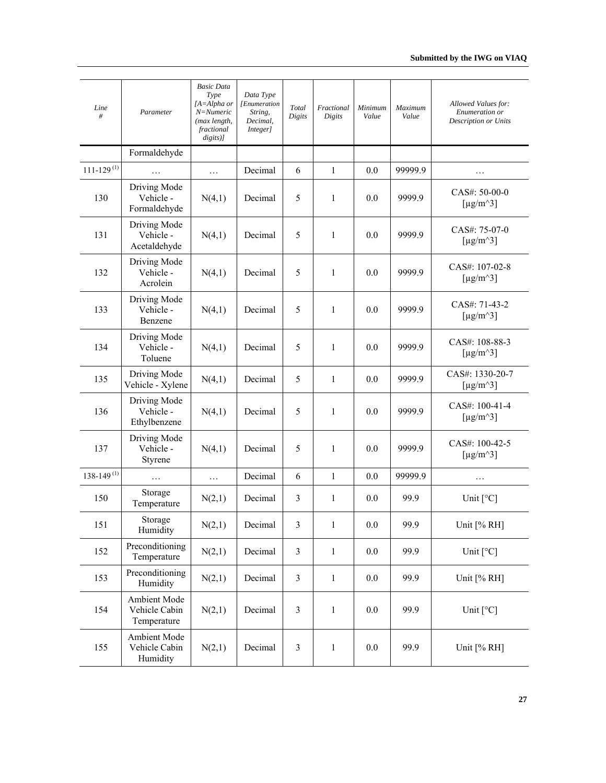| Line<br>#                  | Parameter                                    | <b>Basic Data</b><br>Type<br>[A=Alpha or<br>$N =$ Numeric<br>(max length,<br>fractional<br>$disits)$ ] | Data Type<br>[Enumeration<br>String,<br>Decimal,<br>Integer] | Total<br>Digits | Fractional<br>Digits | Minimum<br>Value | Maximum<br>Value | Allowed Values for:<br>Enumeration or<br>Description or Units  |
|----------------------------|----------------------------------------------|--------------------------------------------------------------------------------------------------------|--------------------------------------------------------------|-----------------|----------------------|------------------|------------------|----------------------------------------------------------------|
|                            | Formaldehyde                                 |                                                                                                        |                                                              |                 |                      |                  |                  |                                                                |
| $111 - 129$ <sup>(1)</sup> | .                                            | $\ldots$                                                                                               | Decimal                                                      | 6               | $\mathbf{1}$         | 0.0              | 99999.9          | .                                                              |
| 130                        | Driving Mode<br>Vehicle -<br>Formaldehyde    | N(4,1)                                                                                                 | Decimal                                                      | 5               | $\mathbf{1}$         | 0.0              | 9999.9           | CAS#: 50-00-0<br>[ $\mu$ g/m <sup><math>\land</math></sup> 3]  |
| 131                        | Driving Mode<br>Vehicle -<br>Acetaldehyde    | N(4,1)                                                                                                 | Decimal                                                      | 5               | $\mathbf{1}$         | 0.0              | 9999.9           | CAS#: 75-07-0<br>[ $\mu$ g/m <sup><math>\land</math>3]</sup>   |
| 132                        | Driving Mode<br>Vehicle-<br>Acrolein         | N(4,1)                                                                                                 | Decimal                                                      | 5               | 1                    | 0.0              | 9999.9           | CAS#: 107-02-8<br>[ $\mu$ g/m <sup><math>\land</math>3]</sup>  |
| 133                        | Driving Mode<br>Vehicle -<br>Benzene         | N(4,1)                                                                                                 | Decimal                                                      | 5               | $\mathbf{1}$         | 0.0              | 9999.9           | CAS#: 71-43-2<br>[ $\mu$ g/m <sup><math>\land</math>3]</sup>   |
| 134                        | Driving Mode<br>Vehicle -<br>Toluene         | N(4,1)                                                                                                 | Decimal                                                      | 5               | $\mathbf{1}$         | 0.0              | 9999.9           | CAS#: 108-88-3<br>[ $\mu$ g/m <sup><math>\land</math>3]</sup>  |
| 135                        | Driving Mode<br>Vehicle - Xylene             | N(4,1)                                                                                                 | Decimal                                                      | 5               | $\mathbf{1}$         | 0.0              | 9999.9           | CAS#: 1330-20-7<br>[ $\mu$ g/m <sup><math>\land</math>3]</sup> |
| 136                        | Driving Mode<br>Vehicle -<br>Ethylbenzene    | N(4,1)                                                                                                 | Decimal                                                      | 5               | $\mathbf{1}$         | 0.0              | 9999.9           | CAS#: 100-41-4<br>[ $\mu$ g/m <sup><math>\land</math>3]</sup>  |
| 137                        | Driving Mode<br>Vehicle -<br>Styrene         | N(4,1)                                                                                                 | Decimal                                                      | 5               | $\mathbf{1}$         | 0.0              | 9999.9           | CAS#: 100-42-5<br>[ $\mu$ g/m <sup><math>\land</math></sup> 3] |
| $138 - 149$ <sup>(1)</sup> | .                                            | .                                                                                                      | Decimal                                                      | 6               | $\mathbf{1}$         | 0.0              | 99999.9          | .                                                              |
| 150                        | Storage<br>Temperature                       | N(2,1)                                                                                                 | Decimal                                                      | 3               | $\mathbf{1}$         | 0.0              | 99.9             | Unit $[°C]$                                                    |
| 151                        | Storage<br>Humidity                          | N(2,1)                                                                                                 | Decimal                                                      | 3               | $\mathbf{1}$         | $0.0\,$          | 99.9             | Unit [% RH]                                                    |
| 152                        | Preconditioning<br>Temperature               | N(2,1)                                                                                                 | Decimal                                                      | $\mathfrak{Z}$  | 1                    | 0.0              | 99.9             | Unit $\lceil$ °C]                                              |
| 153                        | Preconditioning<br>Humidity                  | N(2,1)                                                                                                 | Decimal                                                      | 3               | $\mathbf{1}$         | 0.0              | 99.9             | Unit [% RH]                                                    |
| 154                        | Ambient Mode<br>Vehicle Cabin<br>Temperature | N(2,1)                                                                                                 | Decimal                                                      | $\mathfrak{Z}$  | $\mathbf{1}$         | 0.0              | 99.9             | Unit $\lceil^{\circ}C\rceil$                                   |
| 155                        | Ambient Mode<br>Vehicle Cabin<br>Humidity    | N(2,1)                                                                                                 | Decimal                                                      | 3               | $\mathbf{1}$         | $0.0\,$          | 99.9             | Unit [% RH]                                                    |